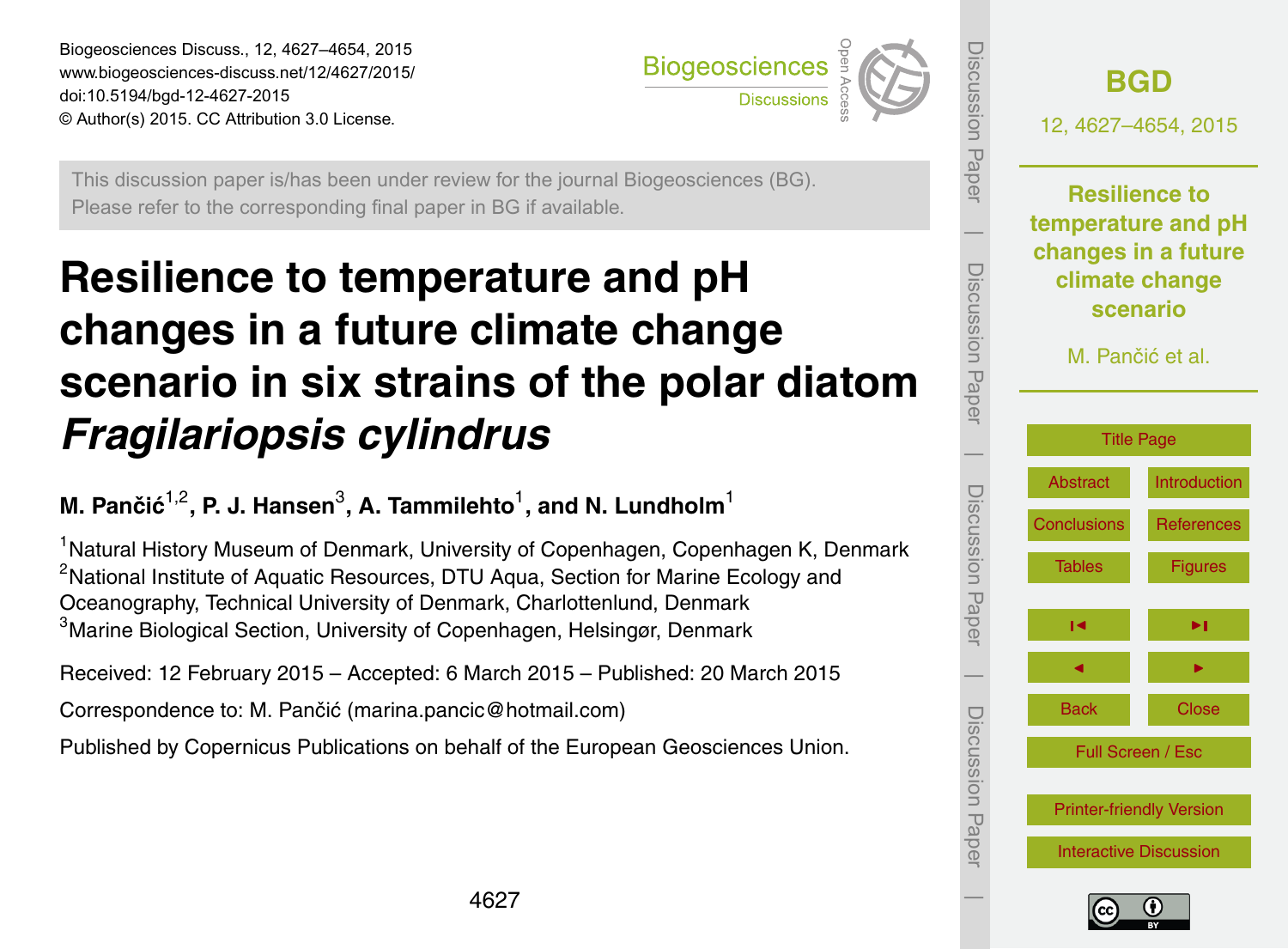<span id="page-0-0"></span>Biogeosciences Discuss., 12, 4627–4654, 2015 www.biogeosciences-discuss.net/12/4627/2015/ doi:10.5194/bgd-12-4627-2015 © Author(s) 2015. CC Attribution 3.0 License.



This discussion paper is/has been under review for the journal Biogeosciences (BG). Please refer to the corresponding final paper in BG if available.

# **Resilience to temperature and pH changes in a future climate change scenario in six strains of the polar diatom** *Fragilariopsis cylindrus*

**M. Pančić** 1,2 **, P. J. Hansen**<sup>3</sup> **, A. Tammilehto**<sup>1</sup> **, and N. Lundholm**<sup>1</sup>

<sup>1</sup>Natural History Museum of Denmark, University of Copenhagen, Copenhagen K, Denmark <sup>2</sup>National Institute of Aquatic Resources, DTU Aqua, Section for Marine Ecology and Oceanography, Technical University of Denmark, Charlottenlund, Denmark <sup>3</sup>Marine Biological Section, University of Copenhagen, Helsingør, Denmark

Received: 12 February 2015 – Accepted: 6 March 2015 – Published: 20 March 2015

Correspondence to: M. Pančić (marina.pancic@hotmail.com)

Published by Copernicus Publications on behalf of the European Geosciences Union.



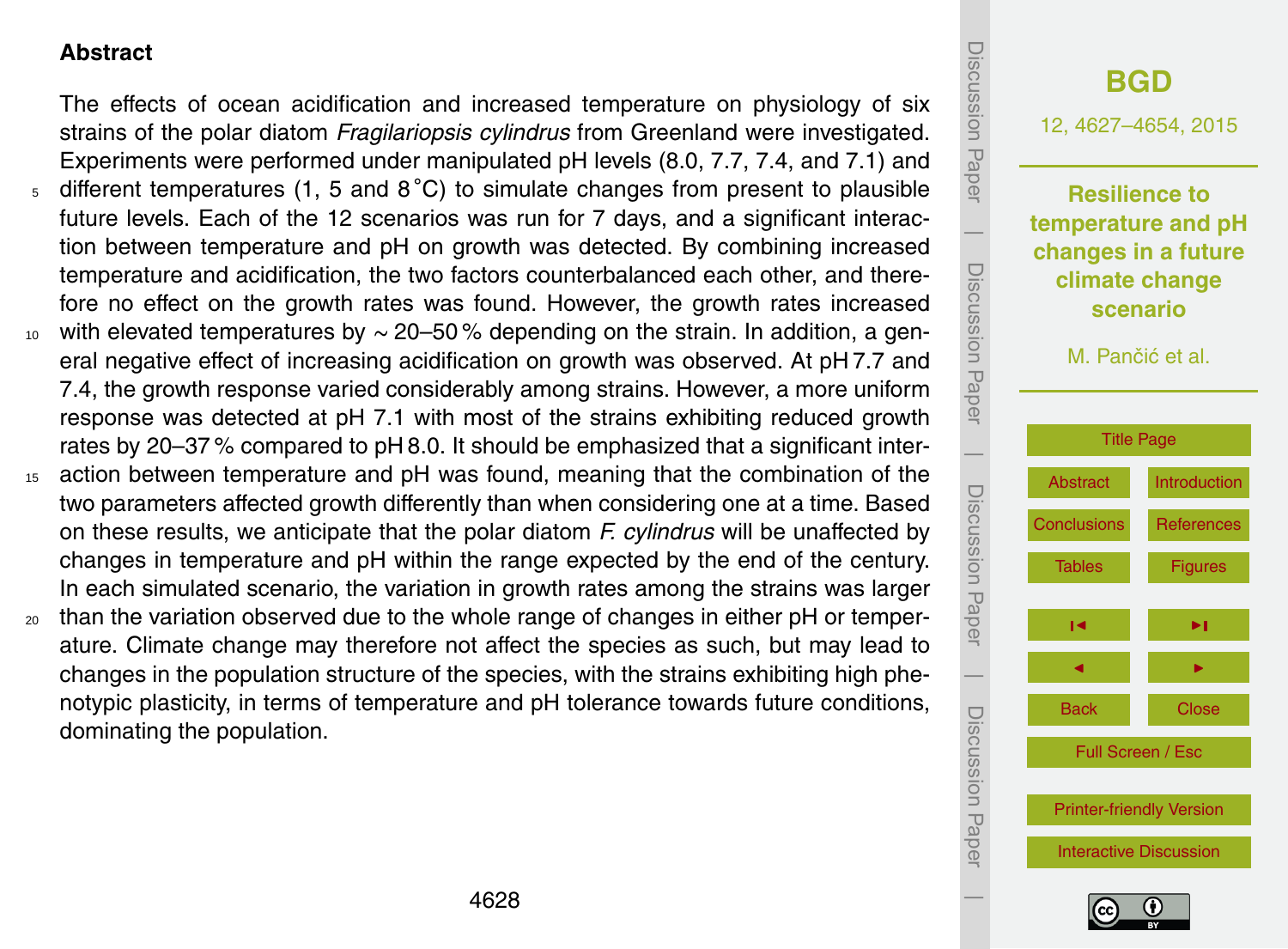# <span id="page-1-0"></span>**Abstract**

The effects of ocean acidification and increased temperature on physiology of six strains of the polar diatom *Fragilariopsis cylindrus* from Greenland were investigated. Experiments were performed under manipulated pH levels (8.0, 7.7, 7.4, and 7.1) and  $5$  different temperatures (1, 5 and 8°C) to simulate changes from present to plausible future levels. Each of the 12 scenarios was run for 7 days, and a significant interaction between temperature and pH on growth was detected. By combining increased temperature and acidification, the two factors counterbalanced each other, and therefore no effect on the growth rates was found. However, the growth rates increased  $10<sub>10</sub>$  with elevated temperatures by ~ 20–50% depending on the strain. In addition, a general negative effect of increasing acidification on growth was observed. At pH 7.7 and 7.4, the growth response varied considerably among strains. However, a more uniform response was detected at pH 7.1 with most of the strains exhibiting reduced growth rates by 20–37 % compared to pH 8.0. It should be emphasized that a significant inter-<sup>15</sup> action between temperature and pH was found, meaning that the combination of the

- two parameters affected growth differently than when considering one at a time. Based on these results, we anticipate that the polar diatom *F. cylindrus* will be unaffected by changes in temperature and pH within the range expected by the end of the century. In each simulated scenario, the variation in growth rates among the strains was larger
- $20$  than the variation observed due to the whole range of changes in either pH or temperature. Climate change may therefore not affect the species as such, but may lead to changes in the population structure of the species, with the strains exhibiting high phenotypic plasticity, in terms of temperature and pH tolerance towards future conditions, dominating the population.



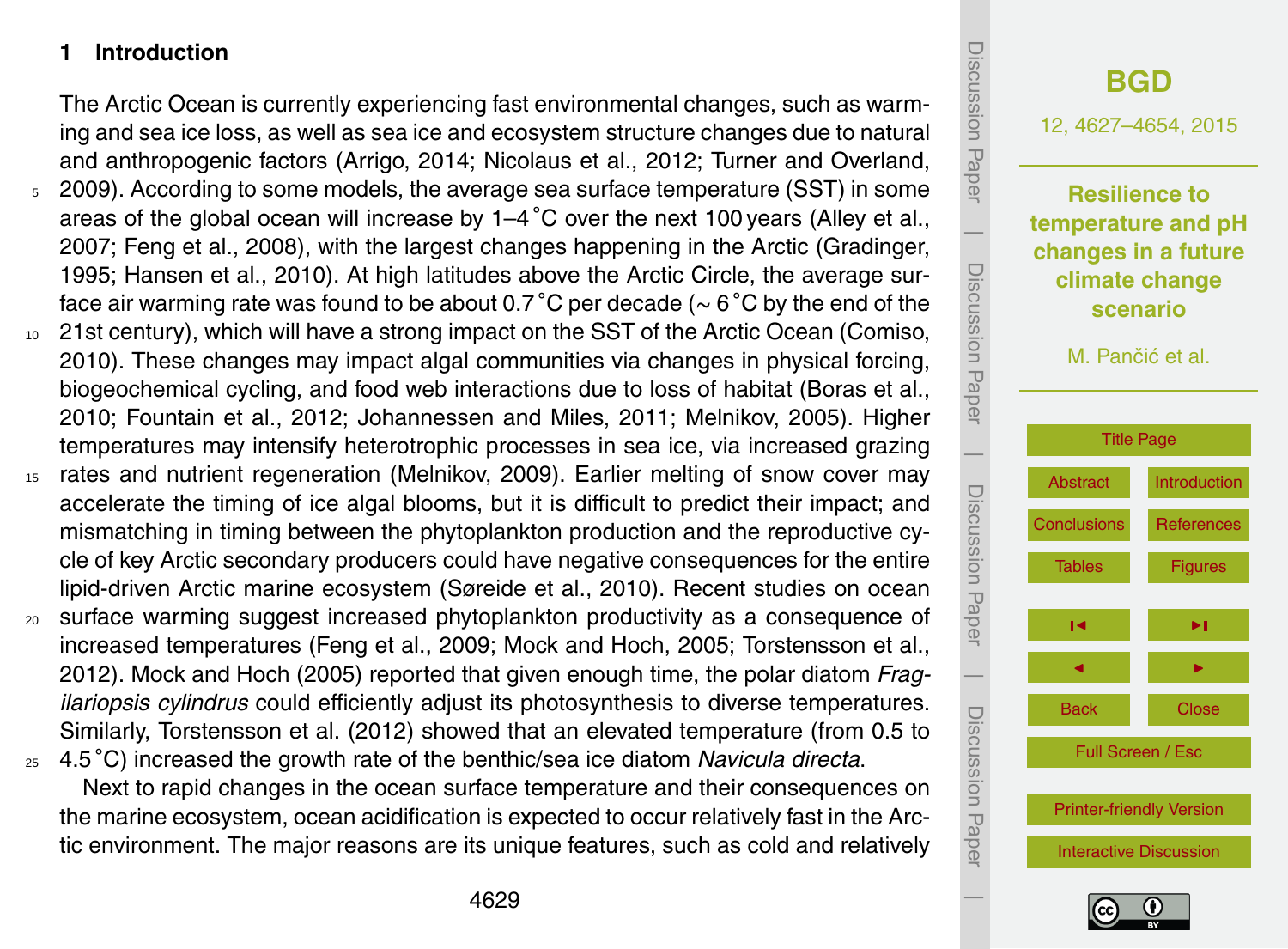# <span id="page-2-0"></span>**1 Introduction**

The Arctic Ocean is currently experiencing fast environmental changes, such as warming and sea ice loss, as well as sea ice and ecosystem structure changes due to natural and anthropogenic factors (Arrigo, 2014; Nicolaus et al., 2012; Turner and Overland,

- <sup>5</sup> 2009). According to some models, the average sea surface temperature (SST) in some areas of the global ocean will increase by  $1-4\degree$ C over the next 100 years (Alley et al., 2007; Feng et al., 2008), with the largest changes happening in the Arctic (Gradinger, 1995; Hansen et al., 2010). At high latitudes above the Arctic Circle, the average surface air warming rate was found to be about 0.7 ◦C per decade (∼ 6 ◦C by the end of the
- <sup>10</sup> 21st century), which will have a strong impact on the SST of the Arctic Ocean (Comiso, 2010). These changes may impact algal communities via changes in physical forcing, biogeochemical cycling, and food web interactions due to loss of habitat (Boras et al., 2010; Fountain et al., 2012; Johannessen and Miles, 2011; Melnikov, 2005). Higher temperatures may intensify heterotrophic processes in sea ice, via increased grazing
- <sup>15</sup> rates and nutrient regeneration (Melnikov, 2009). Earlier melting of snow cover may accelerate the timing of ice algal blooms, but it is difficult to predict their impact; and mismatching in timing between the phytoplankton production and the reproductive cycle of key Arctic secondary producers could have negative consequences for the entire lipid-driven Arctic marine ecosystem (Søreide et al., 2010). Recent studies on ocean
- <sup>20</sup> surface warming suggest increased phytoplankton productivity as a consequence of increased temperatures (Feng et al., 2009; Mock and Hoch, 2005; Torstensson et al., 2012). Mock and Hoch (2005) reported that given enough time, the polar diatom *Fragilariopsis cylindrus* could efficiently adjust its photosynthesis to diverse temperatures. Similarly, Torstensson et al. (2012) showed that an elevated temperature (from 0.5 to 4.5 ◦ <sup>25</sup> C) increased the growth rate of the benthic/sea ice diatom *Navicula directa*.

Next to rapid changes in the ocean surface temperature and their consequences on the marine ecosystem, ocean acidification is expected to occur relatively fast in the Arctic environment. The major reasons are its unique features, such as cold and relatively



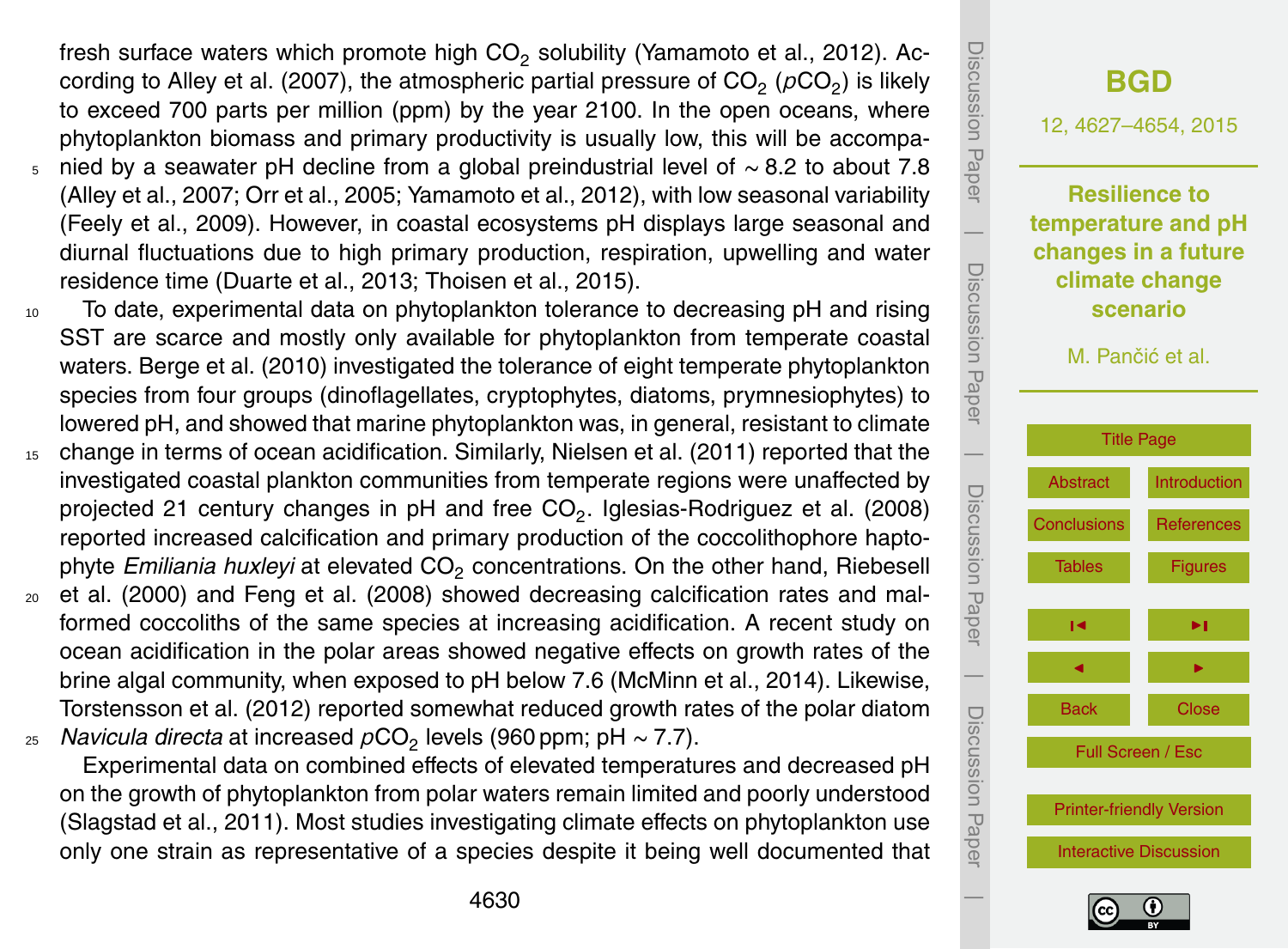fresh surface waters which promote high CO<sub>2</sub> solubility (Yamamoto et al., 2012). According to Alley et al. (2007), the atmospheric partial pressure of  $\text{CO}_2$  ( $\rho\text{CO}_2$ ) is likely to exceed 700 parts per million (ppm) by the year 2100. In the open oceans, where phytoplankton biomass and primary productivity is usually low, this will be accompa-

- <sup>5</sup> nied by a seawater pH decline from a global preindustrial level of ∼ 8.2 to about 7.8 (Alley et al., 2007; Orr et al., 2005; Yamamoto et al., 2012), with low seasonal variability (Feely et al., 2009). However, in coastal ecosystems pH displays large seasonal and diurnal fluctuations due to high primary production, respiration, upwelling and water residence time (Duarte et al., 2013; Thoisen et al., 2015).
- <sup>10</sup> To date, experimental data on phytoplankton tolerance to decreasing pH and rising SST are scarce and mostly only available for phytoplankton from temperate coastal waters. Berge et al. (2010) investigated the tolerance of eight temperate phytoplankton species from four groups (dinoflagellates, cryptophytes, diatoms, prymnesiophytes) to lowered pH, and showed that marine phytoplankton was, in general, resistant to climate
- <sup>15</sup> change in terms of ocean acidification. Similarly, Nielsen et al. (2011) reported that the investigated coastal plankton communities from temperate regions were unaffected by projected 21 century changes in pH and free CO<sub>2</sub>. Iglesias-Rodriguez et al. (2008) reported increased calcification and primary production of the coccolithophore haptophyte *Emiliania huxleyi* at elevated CO<sup>2</sup> concentrations. On the other hand, Riebesell
- $20$  et al. (2000) and Feng et al. (2008) showed decreasing calcification rates and malformed coccoliths of the same species at increasing acidification. A recent study on ocean acidification in the polar areas showed negative effects on growth rates of the brine algal community, when exposed to pH below 7.6 (McMinn et al., 2014). Likewise, Torstensson et al. (2012) reported somewhat reduced growth rates of the polar diatom <sub>25</sub> *Navicula directa* at increased  $\rho \mathsf{CO}_2$  levels (960 ppm; pH ∼ 7.7).

Experimental data on combined effects of elevated temperatures and decreased pH on the growth of phytoplankton from polar waters remain limited and poorly understood (Slagstad et al., 2011). Most studies investigating climate effects on phytoplankton use only one strain as representative of a species despite it being well documented that



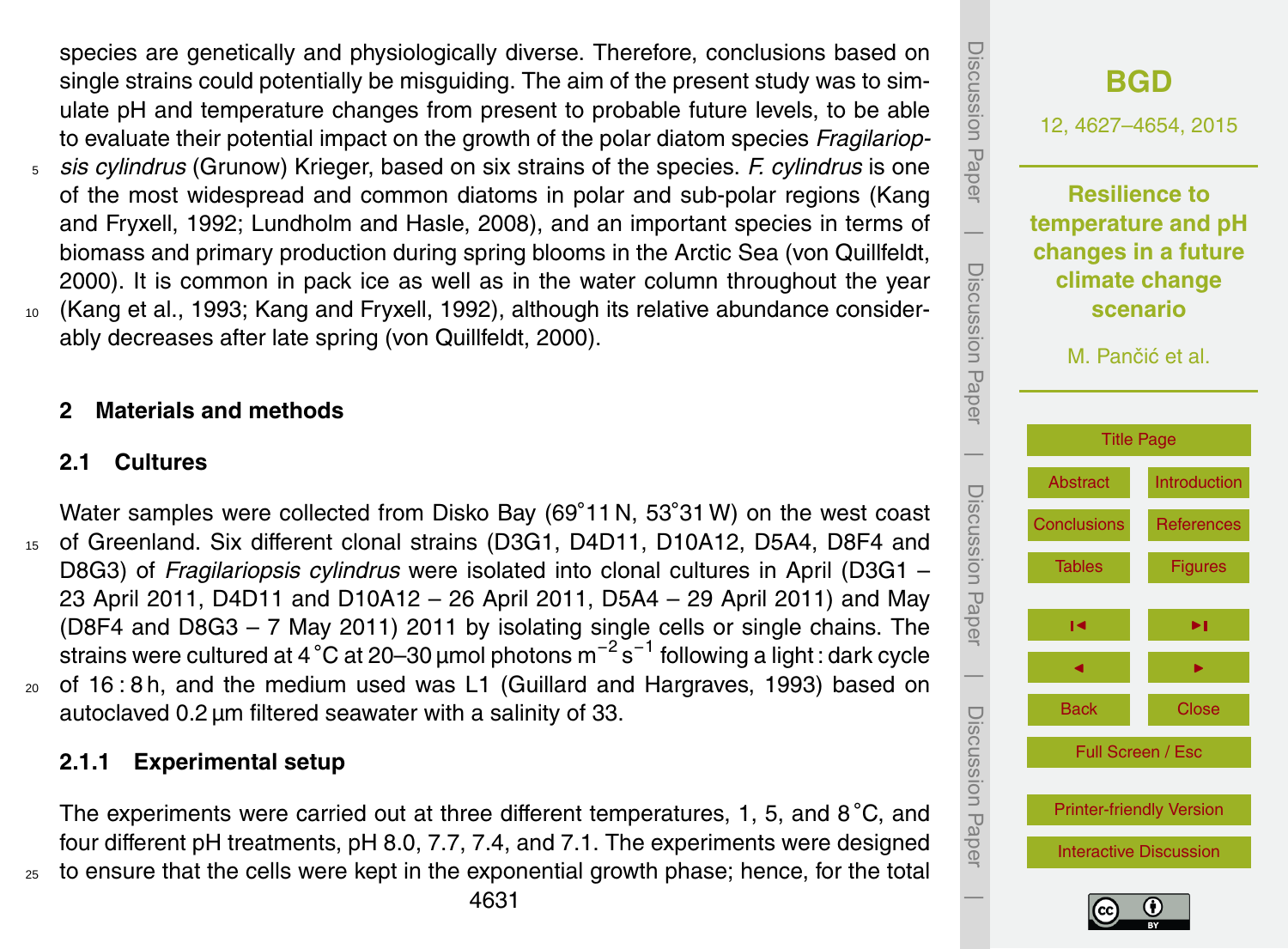species are genetically and physiologically diverse. Therefore, conclusions based on single strains could potentially be misguiding. The aim of the present study was to simulate pH and temperature changes from present to probable future levels, to be able to evaluate their potential impact on the growth of the polar diatom species *Fragilariop-*

- <sup>5</sup> *sis cylindrus* (Grunow) Krieger, based on six strains of the species. *F. cylindrus* is one of the most widespread and common diatoms in polar and sub-polar regions (Kang and Fryxell, 1992; Lundholm and Hasle, 2008), and an important species in terms of biomass and primary production during spring blooms in the Arctic Sea (von Quillfeldt, 2000). It is common in pack ice as well as in the water column throughout the year
- <sup>10</sup> (Kang et al., 1993; Kang and Fryxell, 1992), although its relative abundance considerably decreases after late spring (von Quillfeldt, 2000).

## **2 Materials and methods**

#### **2.1 Cultures**

Water samples were collected from Disko Bay (69°11 N, 53°31 W) on the west coast <sup>15</sup> of Greenland. Six different clonal strains (D3G1, D4D11, D10A12, D5A4, D8F4 and D8G3) of *Fragilariopsis cylindrus* were isolated into clonal cultures in April (D3G1 – 23 April 2011, D4D11 and D10A12 – 26 April 2011, D5A4 – 29 April 2011) and May (D8F4 and D8G3 – 7 May 2011) 2011 by isolating single cells or single chains. The strains were cultured at 4 °C at 20–30 µmol photons m $^{-2}$  s $^{-1}$  following a light : dark cycle <sup>20</sup> of 16 : 8 h, and the medium used was L1 (Guillard and Hargraves, 1993) based on autoclaved 0.2 µm filtered seawater with a salinity of 33.

# **2.1.1 Experimental setup**

The experiments were carried out at three different temperatures, 1, 5, and  $8^{\circ}$ C, and four different pH treatments, pH 8.0, 7.7, 7.4, and 7.1. The experiments were designed <sup>25</sup> to ensure that the cells were kept in the exponential growth phase; hence, for the total

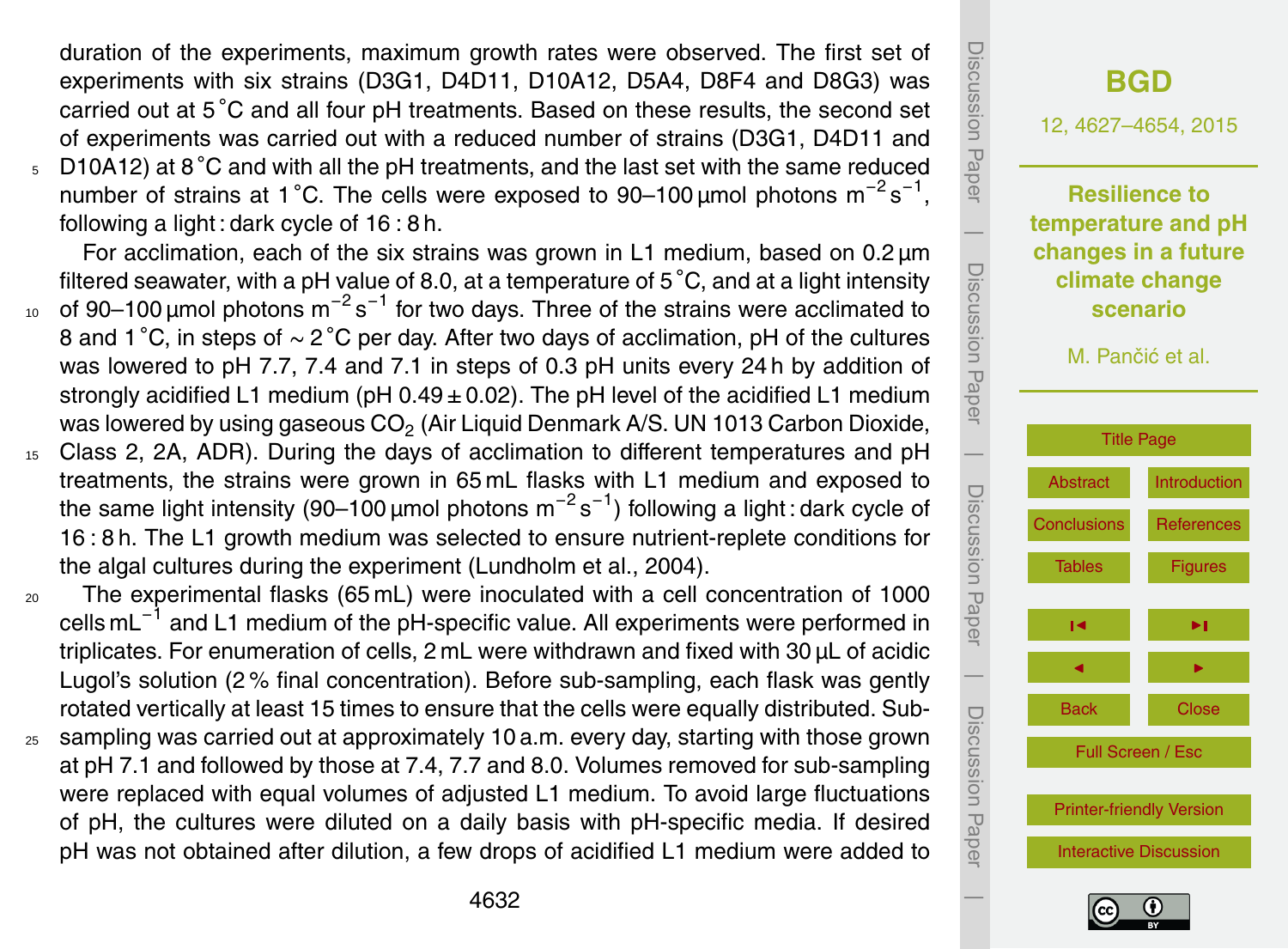duration of the experiments, maximum growth rates were observed. The first set of experiments with six strains (D3G1, D4D11, D10A12, D5A4, D8F4 and D8G3) was carried out at 5 °C and all four pH treatments. Based on these results, the second set of experiments was carried out with a reduced number of strains (D3G1, D4D11 and

 $5-D10A12$ ) at 8 °C and with all the pH treatments, and the last set with the same reduced number of strains at 1 °C. The cells were exposed to 90–100 µmol photons  $m^{-2} s^{-1}$ , following a light : dark cycle of 16 : 8 h.

For acclimation, each of the six strains was grown in L1 medium, based on  $0.2 \mu m$ filtered seawater, with a pH value of 8.0, at a temperature of  $5^{\circ}$ C, and at a light intensity

- <sup>10</sup> of 90–100 μmol photons m<sup>-2</sup>s<sup>-1</sup> for two days. Three of the strains were acclimated to 8 and 1 °C, in steps of ~ 2 °C per day. After two days of acclimation, pH of the cultures was lowered to pH 7.7, 7.4 and 7.1 in steps of 0.3 pH units every 24 h by addition of strongly acidified L1 medium (pH  $0.49 \pm 0.02$ ). The pH level of the acidified L1 medium was lowered by using gaseous CO $_2$  (Air Liquid Denmark A/S. UN 1013 Carbon Dioxide,
- <sup>15</sup> Class 2, 2A, ADR). During the days of acclimation to different temperatures and pH treatments, the strains were grown in 65 mL flasks with L1 medium and exposed to the same light intensity (90–100 µmol photons m<sup>-2</sup>s<sup>-1</sup>) following a light∶dark cycle of 16 : 8 h. The L1 growth medium was selected to ensure nutrient-replete conditions for the algal cultures during the experiment (Lundholm et al., 2004).
- $20$  The experimental flasks (65 mL) were inoculated with a cell concentration of 1000 cells mL<sup>-1</sup> and L1 medium of the pH-specific value. All experiments were performed in triplicates. For enumeration of cells, 2 mL were withdrawn and fixed with 30 µL of acidic Lugol's solution (2 % final concentration). Before sub-sampling, each flask was gently rotated vertically at least 15 times to ensure that the cells were equally distributed. Sub-
- <sup>25</sup> sampling was carried out at approximately 10 a.m. every day, starting with those grown at pH 7.1 and followed by those at 7.4, 7.7 and 8.0. Volumes removed for sub-sampling were replaced with equal volumes of adjusted L1 medium. To avoid large fluctuations of pH, the cultures were diluted on a daily basis with pH-specific media. If desired pH was not obtained after dilution, a few drops of acidified L1 medium were added to



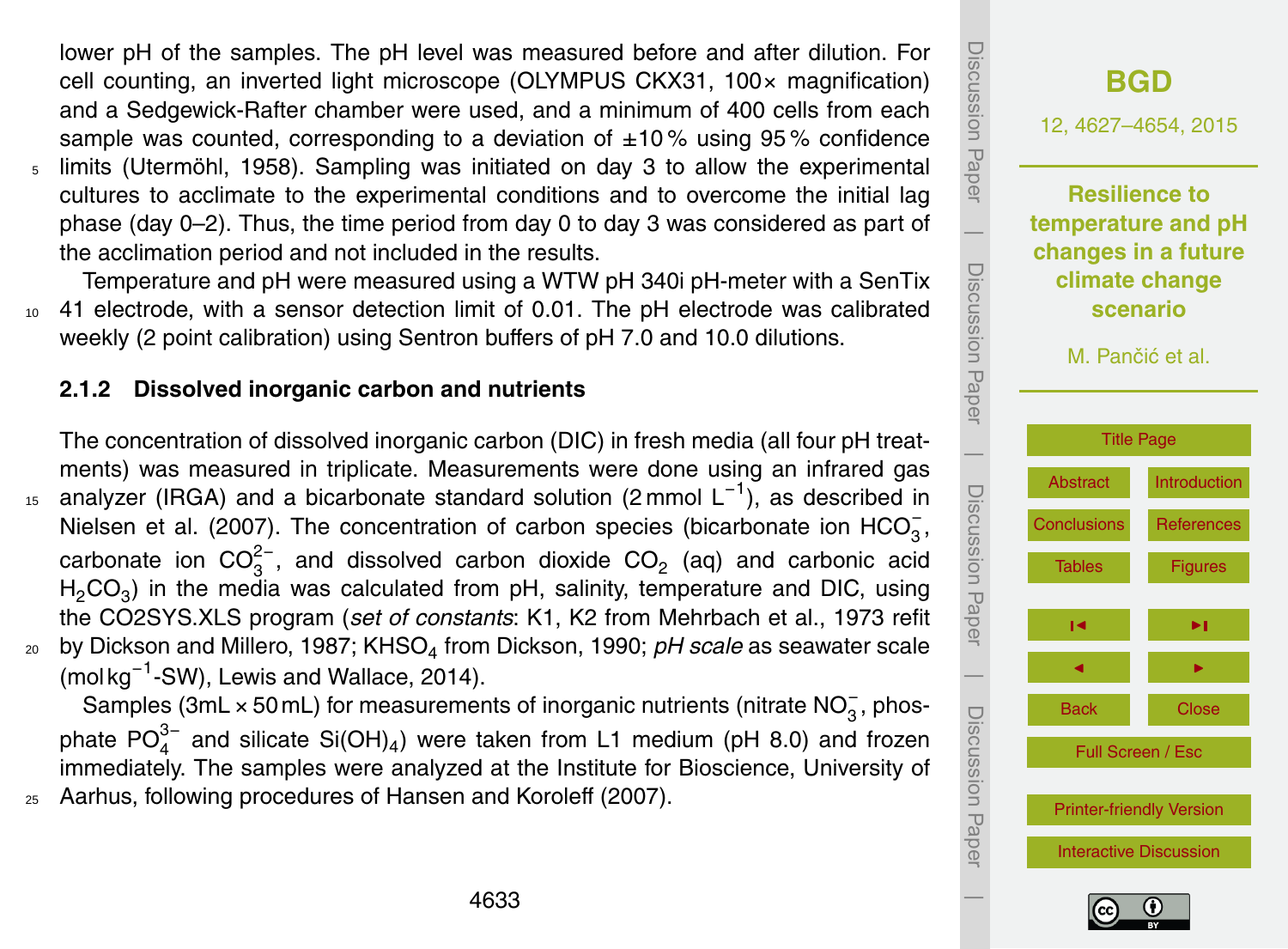lower pH of the samples. The pH level was measured before and after dilution. For cell counting, an inverted light microscope (OLYMPUS CKX31, 100× magnification) and a Sedgewick-Rafter chamber were used, and a minimum of 400 cells from each sample was counted, corresponding to a deviation of  $\pm 10\%$  using 95% confidence <sup>5</sup> limits (Utermöhl, 1958). Sampling was initiated on day 3 to allow the experimental cultures to acclimate to the experimental conditions and to overcome the initial lag phase (day 0–2). Thus, the time period from day 0 to day 3 was considered as part of the acclimation period and not included in the results.

Temperature and pH were measured using a WTW pH 340i pH-meter with a SenTix <sup>10</sup> 41 electrode, with a sensor detection limit of 0.01. The pH electrode was calibrated weekly (2 point calibration) using Sentron buffers of pH 7.0 and 10.0 dilutions.

# **2.1.2 Dissolved inorganic carbon and nutrients**

The concentration of dissolved inorganic carbon (DIC) in fresh media (all four pH treatments) was measured in triplicate. Measurements were done using an infrared gas <sup>15</sup> analyzer (IRGA) and a bicarbonate standard solution (2 mmol L<sup>-1</sup>), as described in Nielsen et al. (2007). The concentration of carbon species (bicarbonate ion  $HCO_3^-$ , carbonate ion  $CO_3^{2-}$ , and dissolved carbon dioxide  $CO_2$  (aq) and carbonic acid  $H_2CO_3$ ) in the media was calculated from pH, salinity, temperature and DIC, using the CO2SYS.XLS program (*set of constants*: K1, K2 from Mehrbach et al., 1973 refit  $_{\rm 20}$  by Dickson and Millero, 1987; KHSO<sub>4</sub> from Dickson, 1990; *pH scale* as seawater scale (mol kg−<sup>1</sup> -SW), Lewis and Wallace, 2014).

Samples (3mL × 50 mL) for measurements of inorganic nutrients (nitrate  $NO_3^-$ , phosphate PO $_4^{3-}$  and silicate Si(OH)<sub>4</sub>) were taken from L1 medium (pH 8.0) and frozen immediately. The samples were analyzed at the Institute for Bioscience, University of <sup>25</sup> Aarhus, following procedures of Hansen and Koroleff (2007).



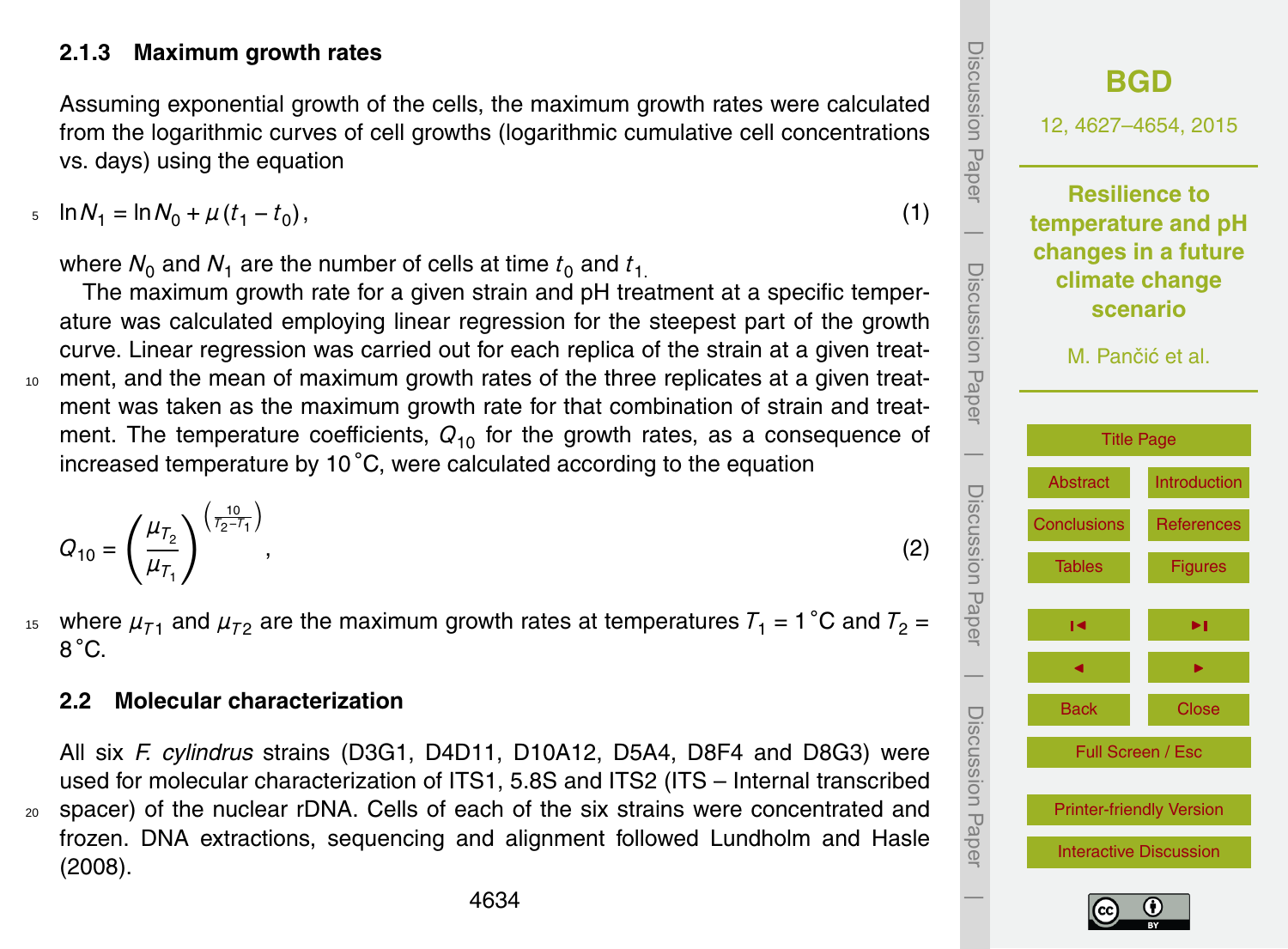#### **2.1.3 Maximum growth rates**

Assuming exponential growth of the cells, the maximum growth rates were calculated from the logarithmic curves of cell growths (logarithmic cumulative cell concentrations vs. days) using the equation

 $\mu_1 = \ln N_0 + \mu (t_1 - t_0)$ , (1)

where  $N_0$  and  $N_1$  are the number of cells at time  $t_0$  and  $t_1$ .

The maximum growth rate for a given strain and pH treatment at a specific temperature was calculated employing linear regression for the steepest part of the growth curve. Linear regression was carried out for each replica of the strain at a given treat-<sup>10</sup> ment, and the mean of maximum growth rates of the three replicates at a given treatment was taken as the maximum growth rate for that combination of strain and treatment. The temperature coefficients,  $Q_{10}$  for the growth rates, as a consequence of increased temperature by 10 ◦C, were calculated according to the equation

$$
Q_{10} = \left(\frac{\mu_{T_2}}{\mu_{T_1}}\right)^{\left(\frac{10}{T_2 - T_1}\right)},\tag{2}
$$

<sup>15</sup> where  $\mu_{71}$  and  $\mu_{72}$  are the maximum growth rates at temperatures  $T_1$  = 1 °C and  $T_2$  = 8 ◦C.

#### **2.2 Molecular characterization**

All six *F. cylindrus* strains (D3G1, D4D11, D10A12, D5A4, D8F4 and D8G3) were used for molecular characterization of ITS1, 5.8S and ITS2 (ITS – Internal transcribed <sup>20</sup> spacer) of the nuclear rDNA. Cells of each of the six strains were concentrated and frozen. DNA extractions, sequencing and alignment followed Lundholm and Hasle (2008).

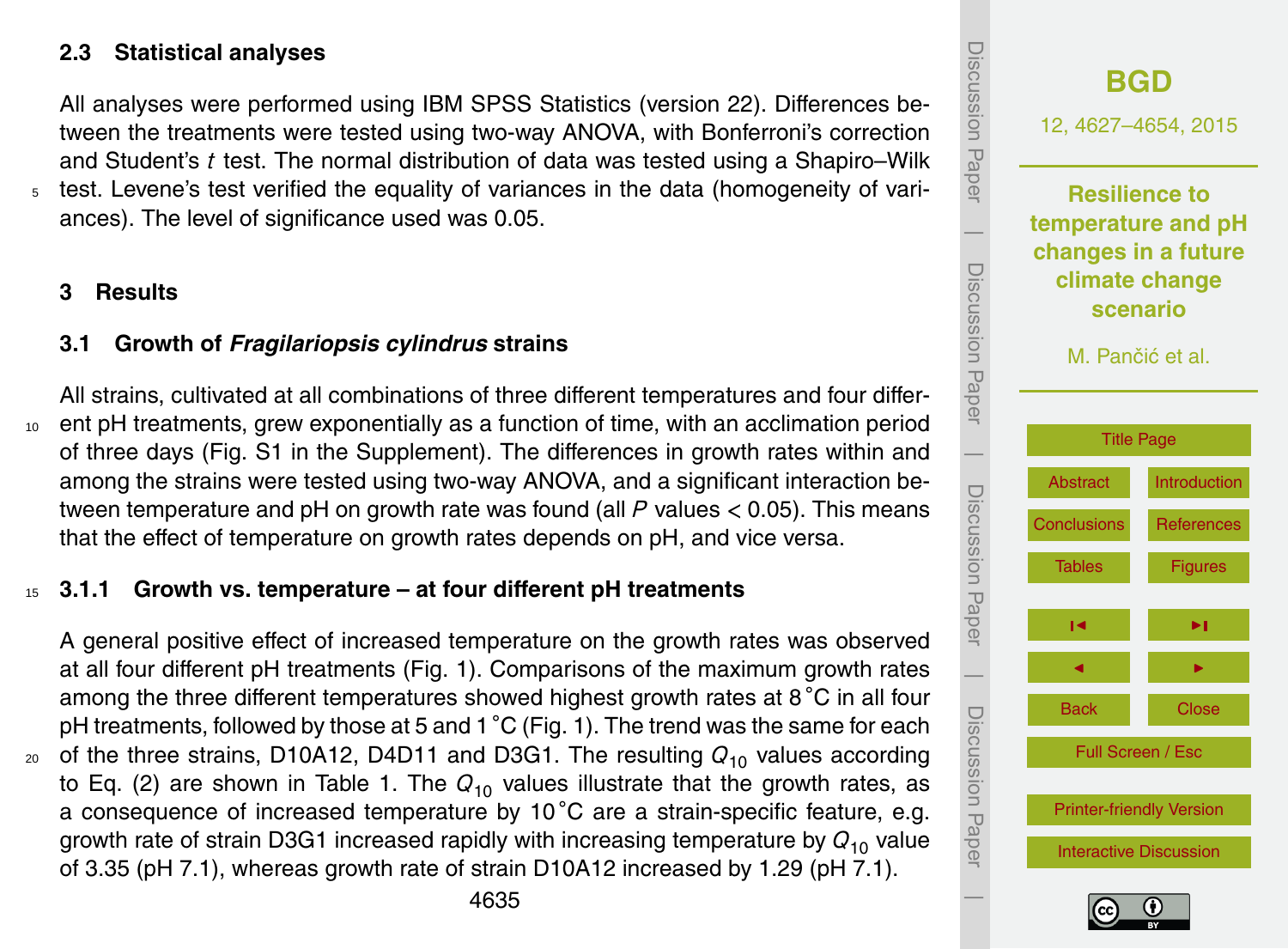## **2.3 Statistical analyses**

All analyses were performed using IBM SPSS Statistics (version 22). Differences between the treatments were tested using two-way ANOVA, with Bonferroni's correction and Student's *t* test. The normal distribution of data was tested using a Shapiro–Wilk <sup>5</sup> test. Levene's test verified the equality of variances in the data (homogeneity of variances). The level of significance used was 0.05.

#### **3 Results**

## **3.1 Growth of** *Fragilariopsis cylindrus* **strains**

All strains, cultivated at all combinations of three different temperatures and four differ-<sup>10</sup> ent pH treatments, grew exponentially as a function of time, with an acclimation period of three days (Fig. S1 in the Supplement). The differences in growth rates within and among the strains were tested using two-way ANOVA, and a significant interaction between temperature and pH on growth rate was found (all *P* values *<* 0.05). This means that the effect of temperature on growth rates depends on pH, and vice versa.

## <sup>15</sup> **3.1.1 Growth vs. temperature – at four different pH treatments**

A general positive effect of increased temperature on the growth rates was observed at all four different pH treatments (Fig. 1). Comparisons of the maximum growth rates among the three different temperatures showed highest growth rates at 8 °C in all four pH treatments, followed by those at 5 and 1  $^{\circ}$ C (Fig. 1). The trend was the same for each 20 of the three strains, D10A12, D4D11 and D3G1. The resulting  $Q_{10}$  values according to Eq. (2) are shown in Table 1. The  $Q_{10}$  values illustrate that the growth rates, as a consequence of increased temperature by 10 °C are a strain-specific feature, e.g. growth rate of strain D3G1 increased rapidly with increasing temperature by *Q*<sup>10</sup> value of 3.35 (pH 7.1), whereas growth rate of strain D10A12 increased by 1.29 (pH 7.1).



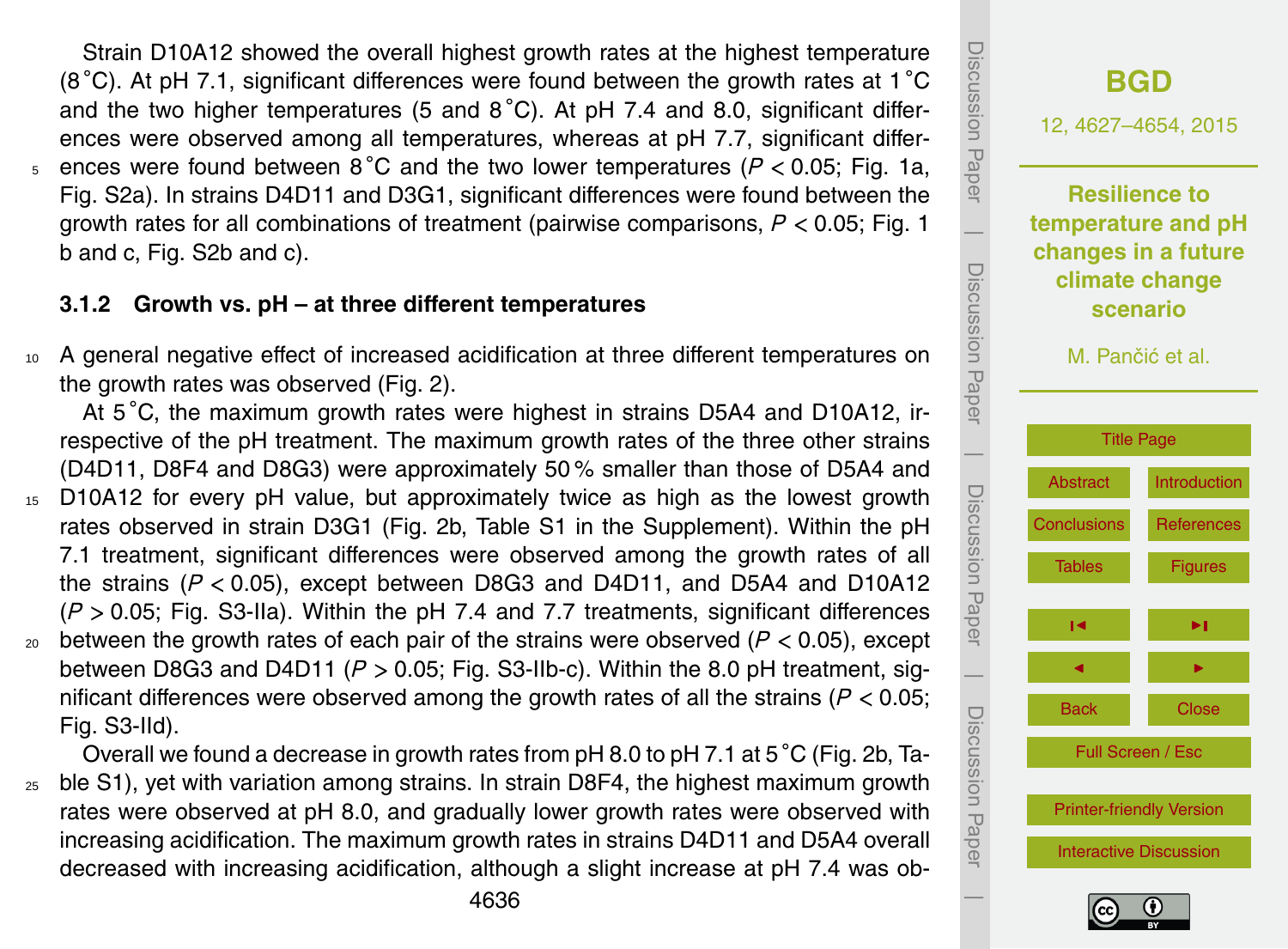Strain D10A12 showed the overall highest growth rates at the highest temperature (8 $\degree$ C). At pH 7.1, significant differences were found between the growth rates at 1 $\degree$ C and the two higher temperatures (5 and  $8^{\circ}$ C). At pH 7.4 and 8.0, significant differences were observed among all temperatures, whereas at pH 7.7, significant differences were found between 8 ◦ <sup>5</sup> C and the two lower temperatures (*P <* 0.05; Fig. 1a, Fig. S2a). In strains D4D11 and D3G1, significant differences were found between the growth rates for all combinations of treatment (pairwise comparisons, *P <* 0.05; Fig. 1 b and c, Fig. S2b and c).

# **3.1.2 Growth vs. pH – at three different temperatures**

<sup>10</sup> A general negative effect of increased acidification at three different temperatures on the growth rates was observed (Fig. 2).

At 5<sup>°</sup>C, the maximum growth rates were highest in strains D5A4 and D10A12, irrespective of the pH treatment. The maximum growth rates of the three other strains (D4D11, D8F4 and D8G3) were approximately 50 % smaller than those of D5A4 and

- <sup>15</sup> D10A12 for every pH value, but approximately twice as high as the lowest growth rates observed in strain D3G1 (Fig. 2b, Table S1 in the Supplement). Within the pH 7.1 treatment, significant differences were observed among the growth rates of all the strains (*P <* 0.05), except between D8G3 and D4D11, and D5A4 and D10A12 (*P >* 0.05; Fig. S3-IIa). Within the pH 7.4 and 7.7 treatments, significant differences  $_{20}$  between the growth rates of each pair of the strains were observed ( $P < 0.05$ ), except
- between D8G3 and D4D11 (*P >* 0.05; Fig. S3-IIb-c). Within the 8.0 pH treatment, significant differences were observed among the growth rates of all the strains (*P <* 0.05; Fig. S3-IId).

Overall we found a decrease in growth rates from pH 8.0 to pH 7.1 at 5 ◦C (Fig. 2b, Ta-<sup>25</sup> ble S1), yet with variation among strains. In strain D8F4, the highest maximum growth rates were observed at pH 8.0, and gradually lower growth rates were observed with increasing acidification. The maximum growth rates in strains D4D11 and D5A4 overall decreased with increasing acidification, although a slight increase at pH 7.4 was ob-



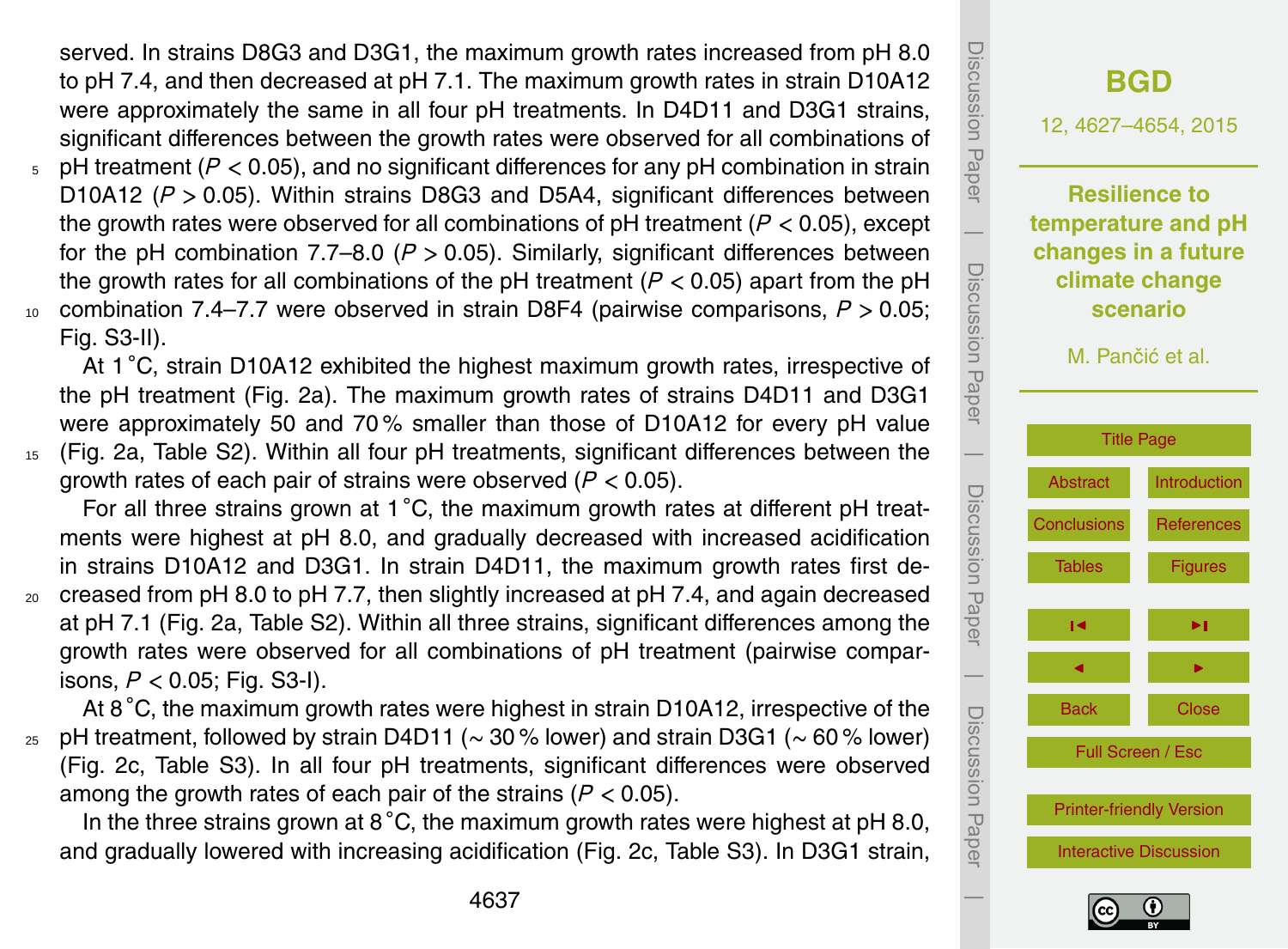served. In strains D8G3 and D3G1, the maximum growth rates increased from pH 8.0 to pH 7.4, and then decreased at pH 7.1. The maximum growth rates in strain D10A12 were approximately the same in all four pH treatments. In D4D11 and D3G1 strains, significant differences between the growth rates were observed for all combinations of

- <sup>5</sup> pH treatment (*P <* 0.05), and no significant differences for any pH combination in strain D10A12 (*P >* 0.05). Within strains D8G3 and D5A4, significant differences between the growth rates were observed for all combinations of pH treatment (*P <* 0.05), except for the pH combination 7.7–8.0 (*P >* 0.05). Similarly, significant differences between the growth rates for all combinations of the pH treatment (*P <* 0.05) apart from the pH <sup>10</sup> combination 7.4–7.7 were observed in strain D8F4 (pairwise comparisons, *P >* 0.05;
- Fig. S3-II).

At 1 °C, strain D10A12 exhibited the highest maximum growth rates, irrespective of the pH treatment (Fig. 2a). The maximum growth rates of strains D4D11 and D3G1 were approximately 50 and 70 % smaller than those of D10A12 for every pH value <sup>15</sup> (Fig. 2a, Table S2). Within all four pH treatments, significant differences between the

growth rates of each pair of strains were observed (*P <* 0.05).

For all three strains grown at 1 °C, the maximum growth rates at different pH treatments were highest at pH 8.0, and gradually decreased with increased acidification in strains D10A12 and D3G1. In strain D4D11, the maximum growth rates first de- $20$  creased from pH 8.0 to pH 7.7, then slightly increased at pH 7.4, and again decreased at pH 7.1 (Fig. 2a, Table S2). Within all three strains, significant differences among the growth rates were observed for all combinations of pH treatment (pairwise compar-

isons, *P <* 0.05; Fig. S3-I).

At 8 °C, the maximum growth rates were highest in strain D10A12, irrespective of the <sup>25</sup> pH treatment, followed by strain D4D11 (∼ 30 % lower) and strain D3G1 (∼ 60 % lower) (Fig. 2c, Table S3). In all four pH treatments, significant differences were observed among the growth rates of each pair of the strains (*P <* 0.05).

In the three strains grown at  $8\degree C$ , the maximum growth rates were highest at pH 8.0, and gradually lowered with increasing acidification (Fig. 2c, Table S3). In D3G1 strain,



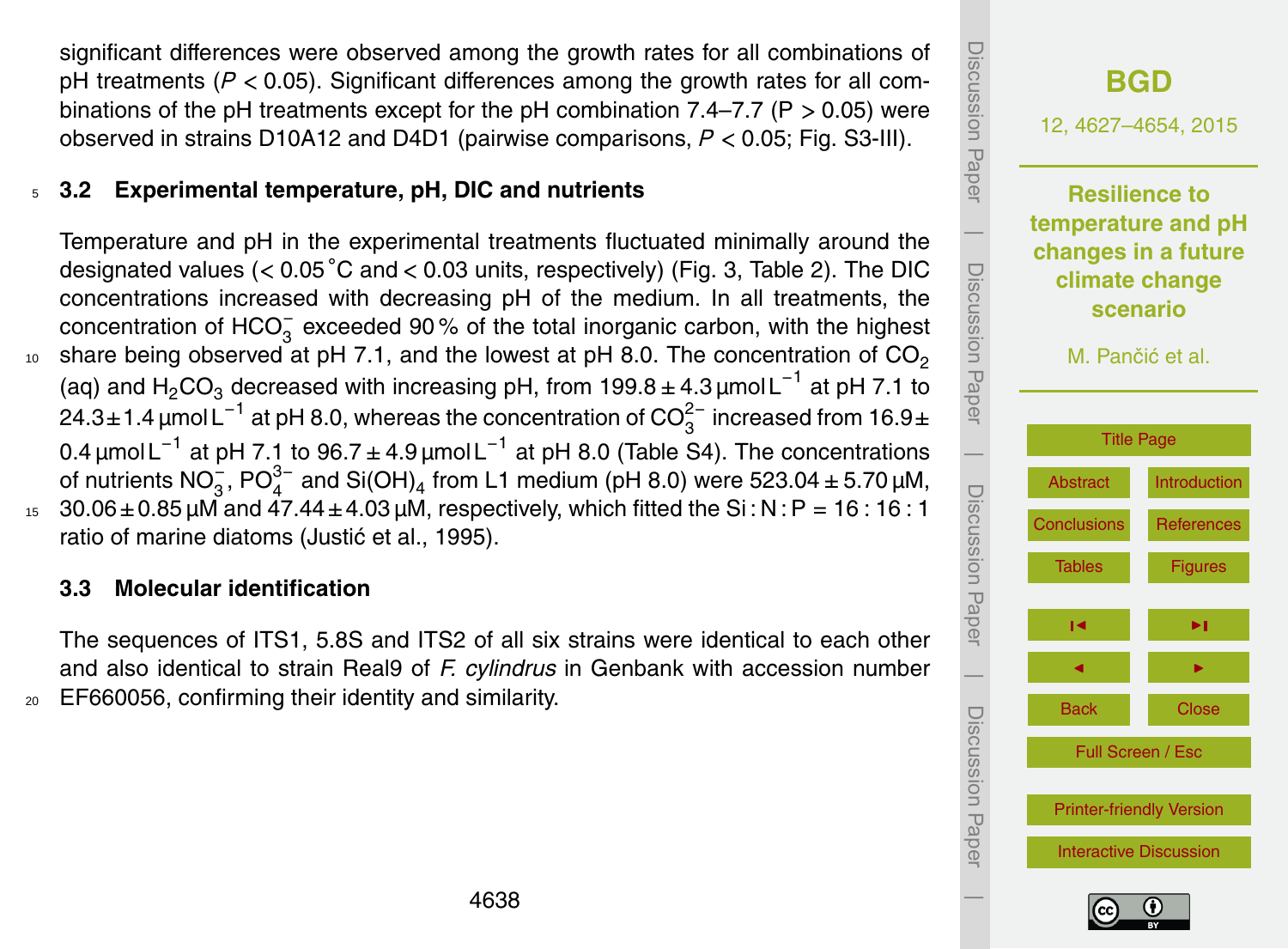significant differences were observed among the growth rates for all combinations of pH treatments (*P <* 0.05). Significant differences among the growth rates for all combinations of the pH treatments except for the pH combination 7.4–7.7 (P *>* 0.05) were observed in strains D10A12 and D4D1 (pairwise comparisons, *P <* 0.05; Fig. S3-III).

# <sup>5</sup> **3.2 Experimental temperature, pH, DIC and nutrients**

Temperature and pH in the experimental treatments fluctuated minimally around the designated values (*<* 0.05 ◦C and *<* 0.03 units, respectively) (Fig. 3, Table 2). The DIC concentrations increased with decreasing pH of the medium. In all treatments, the concentration of HCO<sub>3</sub> exceeded 90% of the total inorganic carbon, with the highest share being observed at pH 7.1, and the lowest at pH 8.0. The concentration of  $CO<sub>2</sub>$ 10 (aq) and H<sub>2</sub>CO<sub>3</sub> decreased with increasing pH, from 199.8 ± 4.3 µmol L<sup>-1</sup> at pH 7.1 to 24.3±1.4 μmol L $^{-1}$  at pH 8.0, whereas the concentration of CO $_3^{2-}$  increased from 16.9± 0.4 μmol L $^{-1}$  at pH 7.1 to 96.7 ± 4.9 μmol L $^{-1}$  at pH 8.0 (Table S4). The concentrations of nutrients NO<sub>3</sub>, PO $_4^{3-}$  and Si(OH)<sub>4</sub> from L1 medium (pH 8.0) were 523.04 ± 5.70 μM,  $30.06 \pm 0.85$  µM and  $47.44 \pm 4.03$  µM, respectively, which fitted the Si: N: P = 16:16:1 ratio of marine diatoms (Justić et al., 1995).

#### **3.3 Molecular identification**

The sequences of ITS1, 5.8S and ITS2 of all six strains were identical to each other and also identical to strain Real9 of *F. cylindrus* in Genbank with accession number <sup>20</sup> EF660056, confirming their identity and similarity.



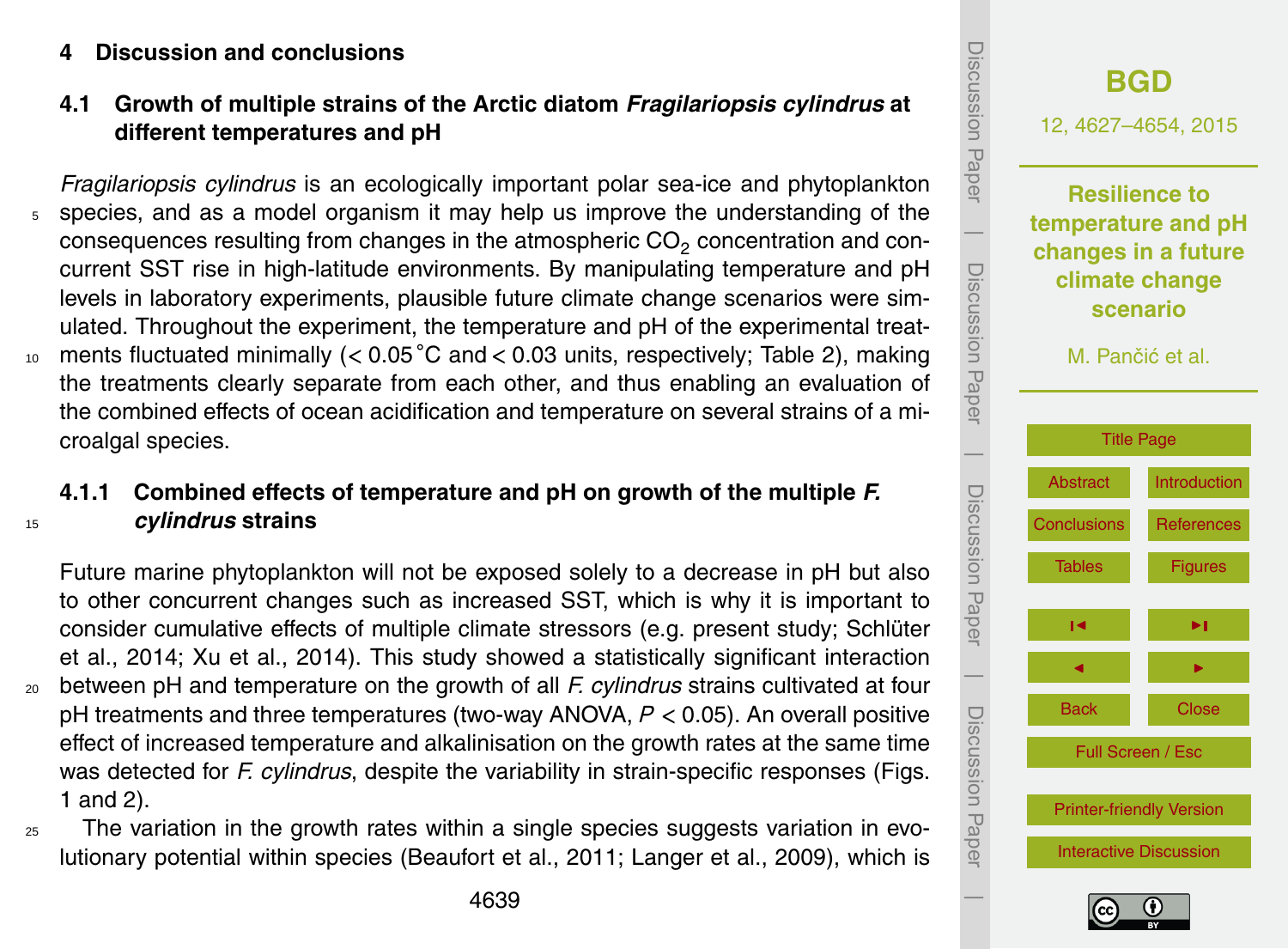#### <span id="page-12-0"></span>**4 Discussion and conclusions**

# **4.1 Growth of multiple strains of the Arctic diatom** *Fragilariopsis cylindrus* **at different temperatures and pH**

*Fragilariopsis cylindrus* is an ecologically important polar sea-ice and phytoplankton <sup>5</sup> species, and as a model organism it may help us improve the understanding of the consequences resulting from changes in the atmospheric  $CO<sub>2</sub>$  concentration and concurrent SST rise in high-latitude environments. By manipulating temperature and pH levels in laboratory experiments, plausible future climate change scenarios were simulated. Throughout the experiment, the temperature and pH of the experimental treat-10 ments fluctuated minimally (< 0.05 °C and < 0.03 units, respectively; Table 2), making the treatments clearly separate from each other, and thus enabling an evaluation of the combined effects of ocean acidification and temperature on several strains of a microalgal species.

# **4.1.1 Combined effects of temperature and pH on growth of the multiple** *F.* <sup>15</sup> *cylindrus* **strains**

Future marine phytoplankton will not be exposed solely to a decrease in pH but also to other concurrent changes such as increased SST, which is why it is important to consider cumulative effects of multiple climate stressors (e.g. present study; Schlüter et al., 2014; Xu et al., 2014). This study showed a statistically significant interaction <sup>20</sup> between pH and temperature on the growth of all *F. cylindrus* strains cultivated at four pH treatments and three temperatures (two-way ANOVA, *P <* 0.05). An overall positive effect of increased temperature and alkalinisation on the growth rates at the same time was detected for *F. cylindrus*, despite the variability in strain-specific responses (Figs. 1 and 2).

<sup>25</sup> The variation in the growth rates within a single species suggests variation in evolutionary potential within species (Beaufort et al., 2011; Langer et al., 2009), which is



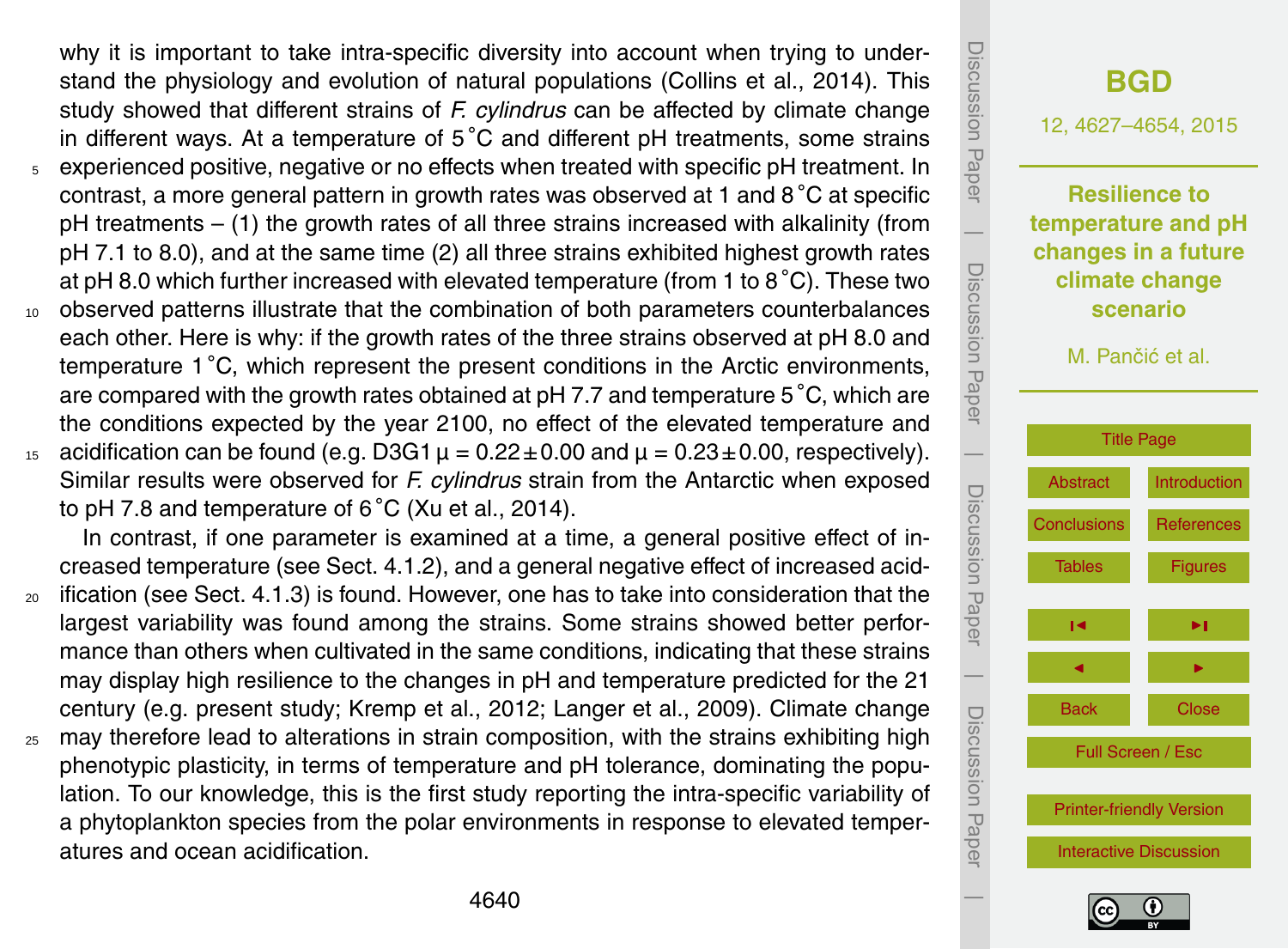why it is important to take intra-specific diversity into account when trying to understand the physiology and evolution of natural populations (Collins et al., 2014). This study showed that different strains of *F. cylindrus* can be affected by climate change in different ways. At a temperature of 5 ◦C and different pH treatments, some strains <sup>5</sup> experienced positive, negative or no effects when treated with specific pH treatment. In contrast, a more general pattern in growth rates was observed at 1 and 8 ◦C at specific pH treatments – (1) the growth rates of all three strains increased with alkalinity (from pH 7.1 to 8.0), and at the same time (2) all three strains exhibited highest growth rates at pH 8.0 which further increased with elevated temperature (from 1 to 8 ◦C). These two <sup>10</sup> observed patterns illustrate that the combination of both parameters counterbalances each other. Here is why: if the growth rates of the three strains observed at pH 8.0 and temperature 1 °C, which represent the present conditions in the Arctic environments, are compared with the growth rates obtained at pH 7.7 and temperature 5 ◦C, which are the conditions expected by the year 2100, no effect of the elevated temperature and 15 acidification can be found (e.g. D3G1  $\mu = 0.22 \pm 0.00$  and  $\mu = 0.23 \pm 0.00$ , respectively).

Similar results were observed for *F. cylindrus* strain from the Antarctic when exposed to pH 7.8 and temperature of  $6^{\circ}$ C (Xu et al., 2014).

In contrast, if one parameter is examined at a time, a general positive effect of increased temperature (see Sect. 4.1.2), and a general negative effect of increased acid-

- <sup>20</sup> ification (see Sect. 4.1.3) is found. However, one has to take into consideration that the largest variability was found among the strains. Some strains showed better performance than others when cultivated in the same conditions, indicating that these strains may display high resilience to the changes in pH and temperature predicted for the 21 century (e.g. present study; Kremp et al., 2012; Langer et al., 2009). Climate change
- <sub>25</sub> may therefore lead to alterations in strain composition, with the strains exhibiting high phenotypic plasticity, in terms of temperature and pH tolerance, dominating the population. To our knowledge, this is the first study reporting the intra-specific variability of a phytoplankton species from the polar environments in response to elevated temperatures and ocean acidification.



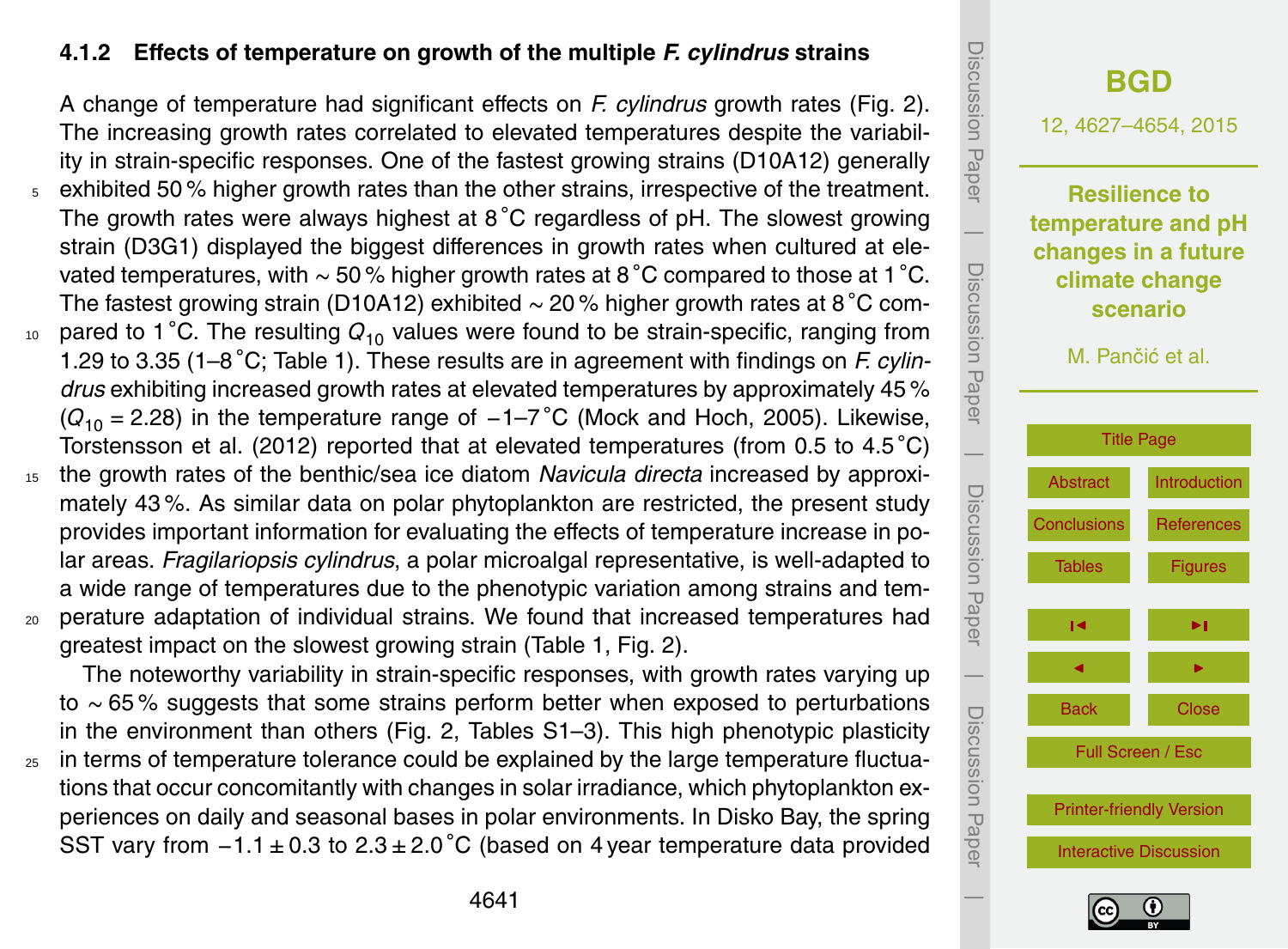## **4.1.2 Effects of temperature on growth of the multiple** *F. cylindrus* **strains**

A change of temperature had significant effects on *F. cylindrus* growth rates (Fig. 2). The increasing growth rates correlated to elevated temperatures despite the variability in strain-specific responses. One of the fastest growing strains (D10A12) generally <sup>5</sup> exhibited 50 % higher growth rates than the other strains, irrespective of the treatment. The growth rates were always highest at  $8^{\circ}$ C regardless of pH. The slowest growing strain (D3G1) displayed the biggest differences in growth rates when cultured at elevated temperatures, with ∼ 50 % higher growth rates at 8 ◦C compared to those at 1 ◦C. The fastest growing strain (D10A12) exhibited ∼ 20 % higher growth rates at 8 ◦C com-<sup>10</sup> pared to 1 °C. The resulting  $Q_{10}$  values were found to be strain-specific, ranging from 1.29 to 3.35 (1–8 ◦C; Table 1). These results are in agreement with findings on *F. cylindrus* exhibiting increased growth rates at elevated temperatures by approximately 45 % (*Q*<sup>10</sup> <sup>=</sup> 2.28) in the temperature range of <sup>−</sup>1–7 ◦C (Mock and Hoch, 2005). Likewise, Torstensson et al. (2012) reported that at elevated temperatures (from 0.5 to 4.5 °C)

- <sup>15</sup> the growth rates of the benthic/sea ice diatom *Navicula directa* increased by approximately 43 %. As similar data on polar phytoplankton are restricted, the present study provides important information for evaluating the effects of temperature increase in polar areas. *Fragilariopsis cylindrus*, a polar microalgal representative, is well-adapted to a wide range of temperatures due to the phenotypic variation among strains and tem-<sup>20</sup> perature adaptation of individual strains. We found that increased temperatures had
- greatest impact on the slowest growing strain (Table 1, Fig. 2).

The noteworthy variability in strain-specific responses, with growth rates varying up to ∼ 65 % suggests that some strains perform better when exposed to perturbations in the environment than others (Fig. 2, Tables S1–3). This high phenotypic plasticity

 $25$  in terms of temperature tolerance could be explained by the large temperature fluctuations that occur concomitantly with changes in solar irradiance, which phytoplankton experiences on daily and seasonal bases in polar environments. In Disko Bay, the spring SST vary from  $-1.1 \pm 0.3$  to  $2.3 \pm 2.0$  °C (based on 4 year temperature data provided

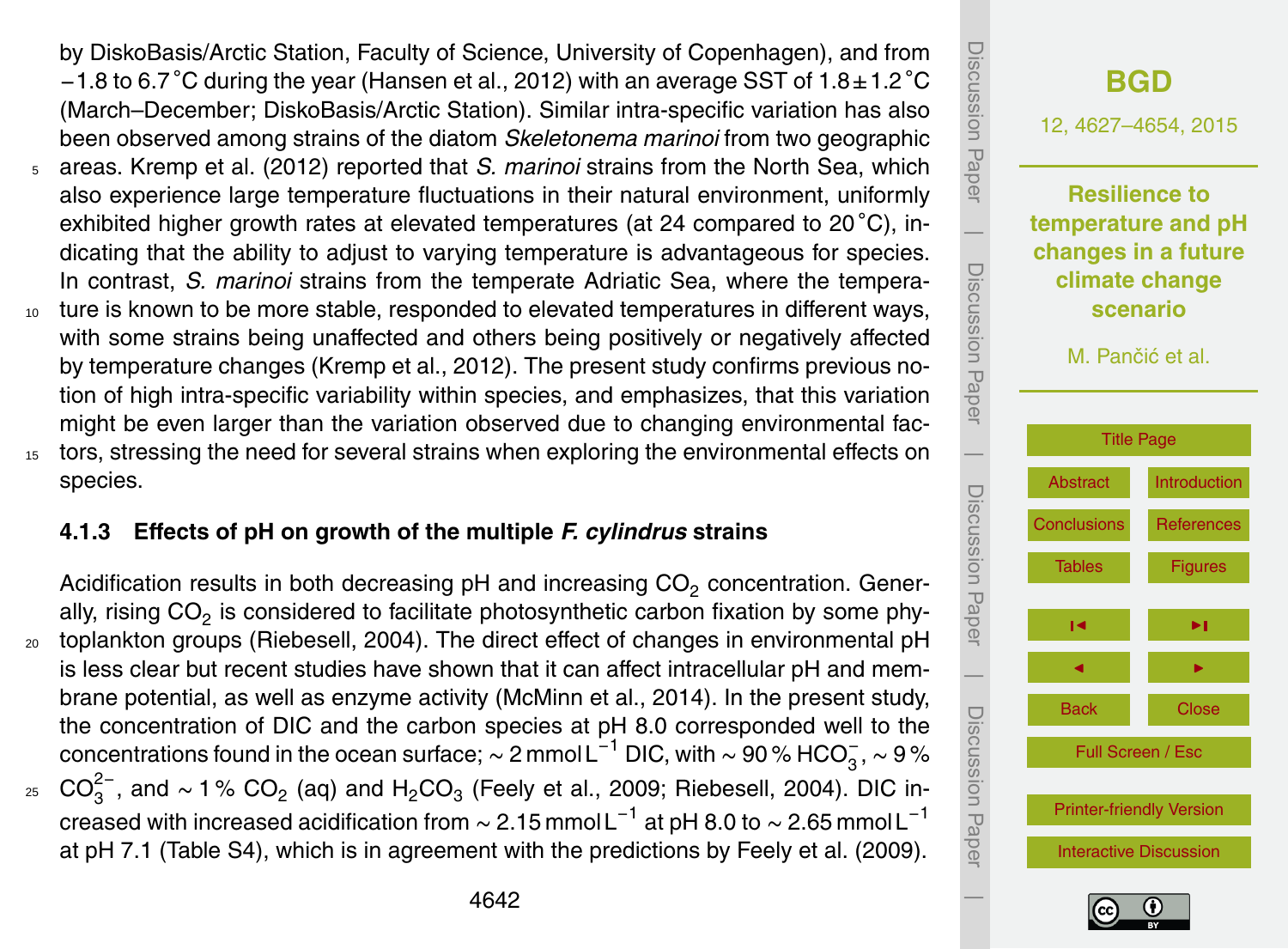- by DiskoBasis/Arctic Station, Faculty of Science, University of Copenhagen), and from  $-1.8$  to 6.7 °C during the year (Hansen et al., 2012) with an average SST of 1.8 $\pm$ 1.2 °C (March–December; DiskoBasis/Arctic Station). Similar intra-specific variation has also been observed among strains of the diatom *Skeletonema marinoi* from two geographic
- <sup>5</sup> areas. Kremp et al. (2012) reported that *S. marinoi* strains from the North Sea, which also experience large temperature fluctuations in their natural environment, uniformly exhibited higher growth rates at elevated temperatures (at 24 compared to 20 °C), indicating that the ability to adjust to varying temperature is advantageous for species. In contrast, *S. marinoi* strains from the temperate Adriatic Sea, where the tempera-
- <sup>10</sup> ture is known to be more stable, responded to elevated temperatures in different ways, with some strains being unaffected and others being positively or negatively affected by temperature changes (Kremp et al., 2012). The present study confirms previous notion of high intra-specific variability within species, and emphasizes, that this variation might be even larger than the variation observed due to changing environmental fac-<sup>15</sup> tors, stressing the need for several strains when exploring the environmental effects on species.
	- **4.1.3 Effects of pH on growth of the multiple** *F. cylindrus* **strains**
- Acidification results in both decreasing  $pH$  and increasing  $CO<sub>2</sub>$  concentration. Generally, rising CO<sub>2</sub> is considered to facilitate photosynthetic carbon fixation by some phy-<sub>20</sub> toplankton groups (Riebesell, 2004). The direct effect of changes in environmental pH is less clear but recent studies have shown that it can affect intracellular pH and membrane potential, as well as enzyme activity (McMinn et al., 2014). In the present study, the concentration of DIC and the carbon species at pH 8.0 corresponded well to the concentrations found in the ocean surface;  $\sim$  2 mmol L $^{-1}$  DIC, with  $\sim$  90 % HCO $_3^-$ ,  $\sim$  9 % <sub>25</sub>  $CO_3^{2-}$ , and ~1% CO<sub>2</sub> (aq) and H<sub>2</sub>CO<sub>3</sub> (Feely et al., 2009; Riebesell, 2004). DIC increased with increased acidification from  $\sim$  2.15 mmol L $^{-1}$  at pH 8.0 to  $\sim$  2.65 mmol L $^{-1}$





at pH 7.1 (Table S4), which is in agreement with the predictions by Feely et al. (2009).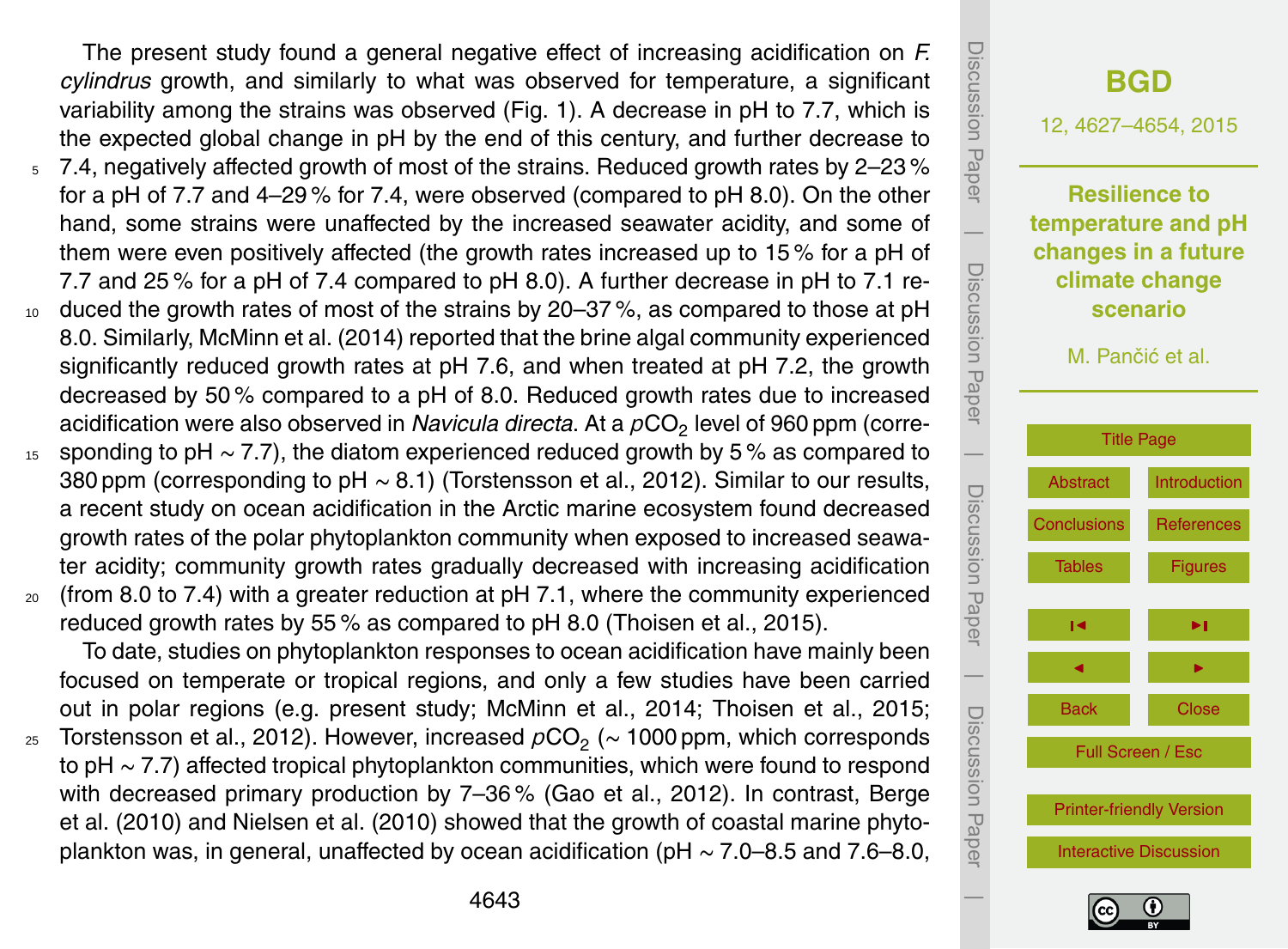The present study found a general negative effect of increasing acidification on *F. cylindrus* growth, and similarly to what was observed for temperature, a significant variability among the strains was observed (Fig. 1). A decrease in pH to 7.7, which is the expected global change in pH by the end of this century, and further decrease to

- <sup>5</sup> 7.4, negatively affected growth of most of the strains. Reduced growth rates by 2–23 % for a pH of 7.7 and 4–29 % for 7.4, were observed (compared to pH 8.0). On the other hand, some strains were unaffected by the increased seawater acidity, and some of them were even positively affected (the growth rates increased up to 15 % for a pH of 7.7 and 25 % for a pH of 7.4 compared to pH 8.0). A further decrease in pH to 7.1 re-
- 10 duced the growth rates of most of the strains by 20–37%, as compared to those at pH 8.0. Similarly, McMinn et al. (2014) reported that the brine algal community experienced significantly reduced growth rates at pH 7.6, and when treated at pH 7.2, the growth decreased by 50 % compared to a pH of 8.0. Reduced growth rates due to increased acidification were also observed in *Navicula directa*. At a  $\rho \mathrm{CO}_2$  level of 960 ppm (corre-
- <sup>15</sup> sponding to pH ∼ 7.7), the diatom experienced reduced growth by 5 % as compared to 380 ppm (corresponding to pH ~ 8.1) (Torstensson et al., 2012). Similar to our results, a recent study on ocean acidification in the Arctic marine ecosystem found decreased growth rates of the polar phytoplankton community when exposed to increased seawater acidity; community growth rates gradually decreased with increasing acidification
- $20$  (from 8.0 to 7.4) with a greater reduction at pH 7.1, where the community experienced reduced growth rates by 55 % as compared to pH 8.0 (Thoisen et al., 2015).

To date, studies on phytoplankton responses to ocean acidification have mainly been focused on temperate or tropical regions, and only a few studies have been carried out in polar regions (e.g. present study; McMinn et al., 2014; Thoisen et al., 2015; <sub>25</sub> Torstensson et al., 2012). However, increased  $\rho \mathrm{CO}_2^+$  (∼ 1000 ppm, which corresponds to pH ∼ 7.7) affected tropical phytoplankton communities, which were found to respond with decreased primary production by 7–36 % (Gao et al., 2012). In contrast, Berge et al. (2010) and Nielsen et al. (2010) showed that the growth of coastal marine phytoplankton was, in general, unaffected by ocean acidification (pH ∼ 7.0–8.5 and 7.6–8.0,



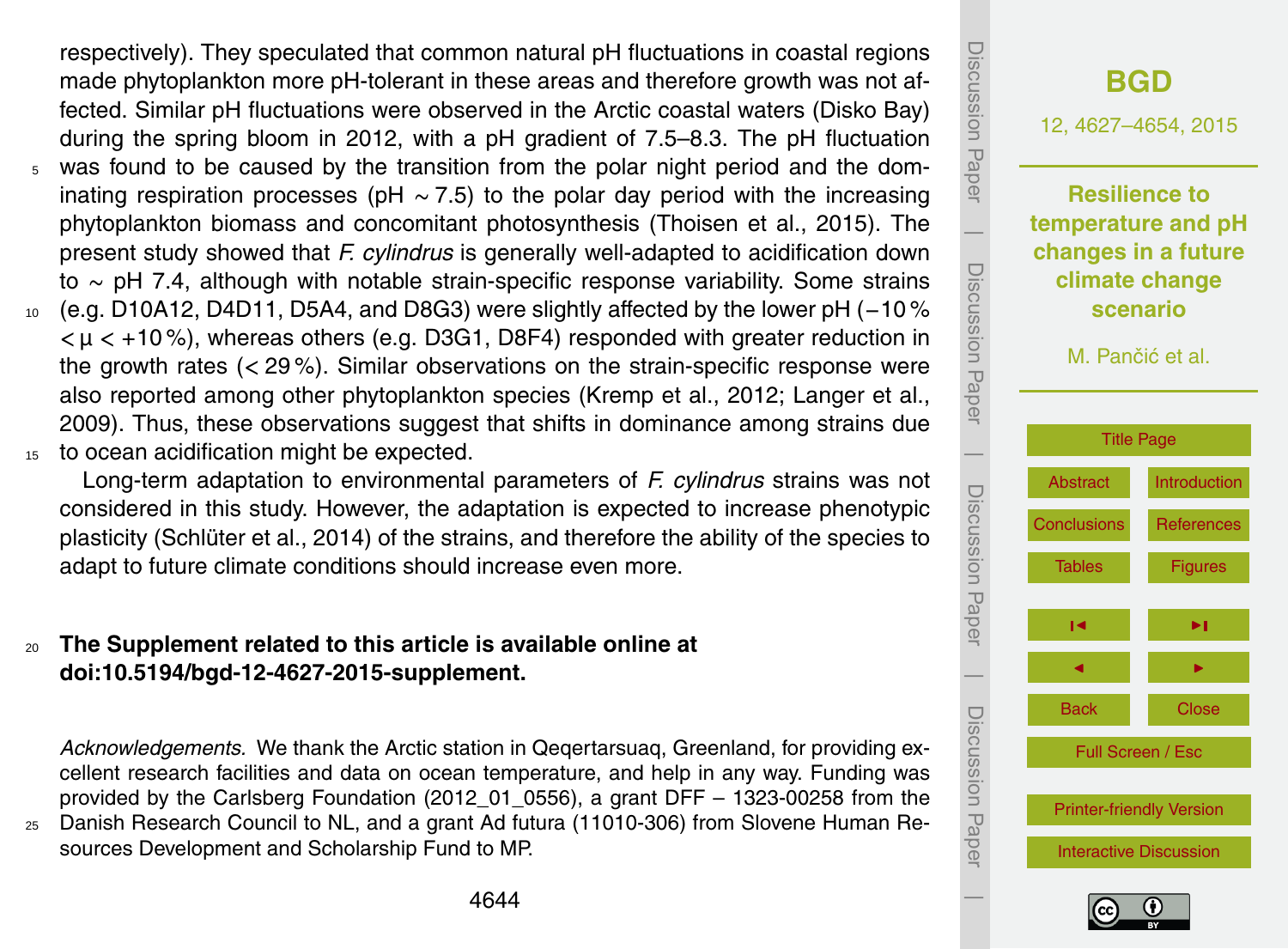respectively). They speculated that common natural pH fluctuations in coastal regions made phytoplankton more pH-tolerant in these areas and therefore growth was not affected. Similar pH fluctuations were observed in the Arctic coastal waters (Disko Bay) during the spring bloom in 2012, with a pH gradient of 7.5–8.3. The pH fluctuation <sup>5</sup> was found to be caused by the transition from the polar night period and the dominating respiration processes (pH ∼ 7.5) to the polar day period with the increasing phytoplankton biomass and concomitant photosynthesis (Thoisen et al., 2015). The present study showed that *F. cylindrus* is generally well-adapted to acidification down to ∼ pH 7.4, although with notable strain-specific response variability. Some strains <sup>10</sup> (e.g. D10A12, D4D11, D5A4, and D8G3) were slightly affected by the lower pH (−10 % *<* µ *<* +10 %), whereas others (e.g. D3G1, D8F4) responded with greater reduction in the growth rates (*<* 29 %). Similar observations on the strain-specific response were also reported among other phytoplankton species (Kremp et al., 2012; Langer et al., 2009). Thus, these observations suggest that shifts in dominance among strains due 15 to ocean acidification might be expected.

Long-term adaptation to environmental parameters of *F. cylindrus* strains was not considered in this study. However, the adaptation is expected to increase phenotypic plasticity (Schlüter et al., 2014) of the strains, and therefore the ability of the species to adapt to future climate conditions should increase even more.

# <sup>20</sup> **The Supplement related to this article is available online at [doi:10.5194/bgd-12-4627-2015-supplement.](http://dx.doi.org/10.5194/bgd-12-4627-2015-supplement)**

*Acknowledgements.* We thank the Arctic station in Qeqertarsuaq, Greenland, for providing excellent research facilities and data on ocean temperature, and help in any way. Funding was provided by the Carlsberg Foundation (2012\_01\_0556), a grant DFF – 1323-00258 from the

<sup>25</sup> Danish Research Council to NL, and a grant Ad futura (11010-306) from Slovene Human Resources Development and Scholarship Fund to MP.



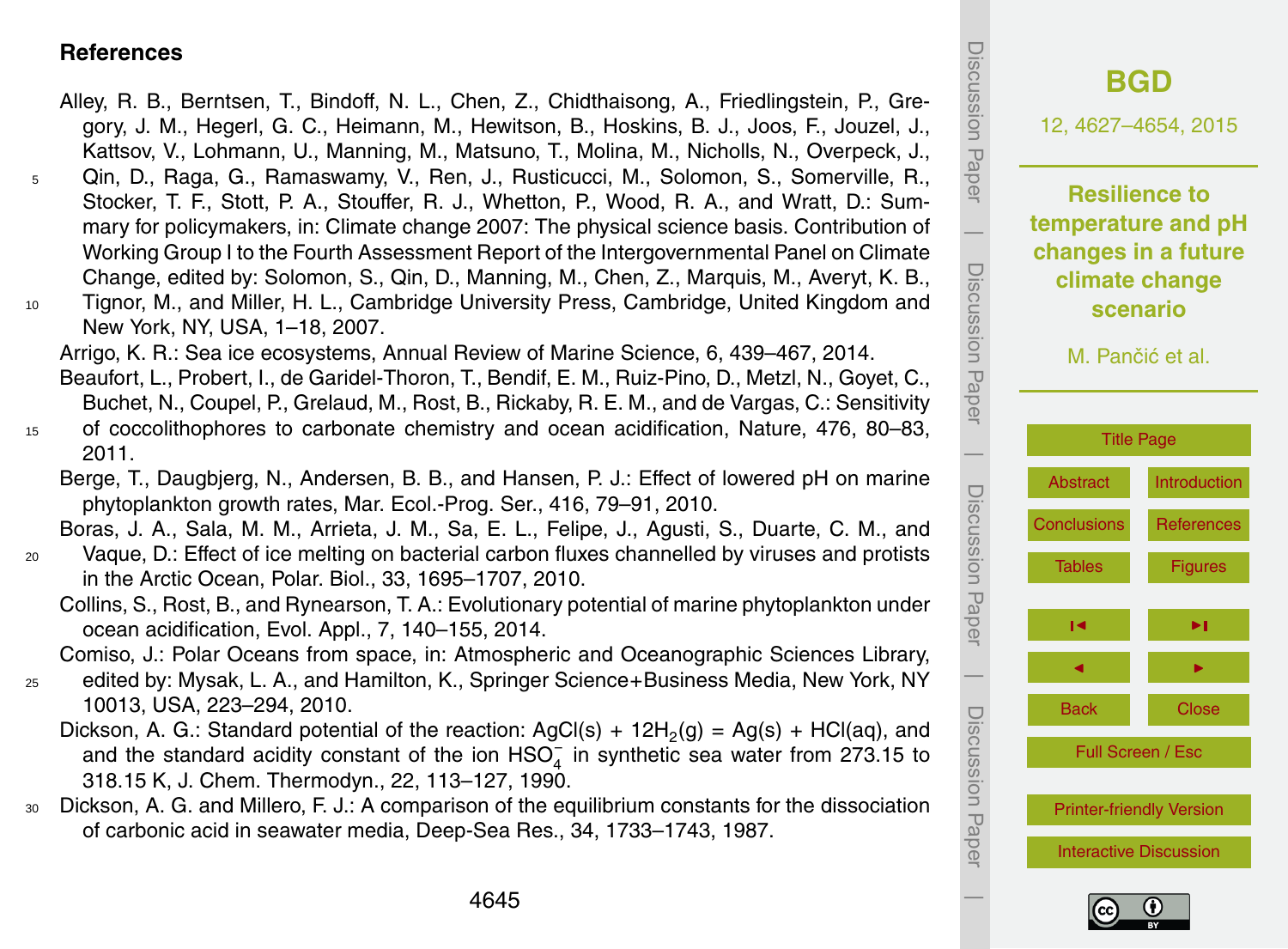#### <span id="page-18-0"></span>**References**

- Alley, R. B., Berntsen, T., Bindoff, N. L., Chen, Z., Chidthaisong, A., Friedlingstein, P., Gregory, J. M., Hegerl, G. C., Heimann, M., Hewitson, B., Hoskins, B. J., Joos, F., Jouzel, J., Kattsov, V., Lohmann, U., Manning, M., Matsuno, T., Molina, M., Nicholls, N., Overpeck, J., <sup>5</sup> Qin, D., Raga, G., Ramaswamy, V., Ren, J., Rusticucci, M., Solomon, S., Somerville, R., Stocker, T. F., Stott, P. A., Stouffer, R. J., Whetton, P., Wood, R. A., and Wratt, D.: Summary for policymakers, in: Climate change 2007: The physical science basis. Contribution of Working Group I to the Fourth Assessment Report of the Intergovernmental Panel on Climate Change, edited by: Solomon, S., Qin, D., Manning, M., Chen, Z., Marquis, M., Averyt, K. B., <sup>10</sup> Tignor, M., and Miller, H. L., Cambridge University Press, Cambridge, United Kingdom and New York, NY, USA, 1–18, 2007. Arrigo, K. R.: Sea ice ecosystems, Annual Review of Marine Science, 6, 439–467, 2014. Beaufort, L., Probert, I., de Garidel-Thoron, T., Bendif, E. M., Ruiz-Pino, D., Metzl, N., Goyet, C., Buchet, N., Coupel, P., Grelaud, M., Rost, B., Rickaby, R. E. M., and de Vargas, C.: Sensitivity <sup>15</sup> of coccolithophores to carbonate chemistry and ocean acidification, Nature, 476, 80–83, 2011. Berge, T., Daugbjerg, N., Andersen, B. B., and Hansen, P. J.: Effect of lowered pH on marine phytoplankton growth rates, Mar. Ecol.-Prog. Ser., 416, 79–91, 2010. Boras, J. A., Sala, M. M., Arrieta, J. M., Sa, E. L., Felipe, J., Agusti, S., Duarte, C. M., and <sup>20</sup> Vaque, D.: Effect of ice melting on bacterial carbon fluxes channelled by viruses and protists in the Arctic Ocean, Polar. Biol., 33, 1695–1707, 2010.
	- Collins, S., Rost, B., and Rynearson, T. A.: Evolutionary potential of marine phytoplankton under ocean acidification, Evol. Appl., 7, 140–155, 2014.

Comiso, J.: Polar Oceans from space, in: Atmospheric and Oceanographic Sciences Library,

- <sup>25</sup> edited by: Mysak, L. A., and Hamilton, K., Springer Science+Business Media, New York, NY 10013, USA, 223–294, 2010.
	- Dickson, A. G.: Standard potential of the reaction:  $AgCl(s) + 12H_2(g) = Ag(s) + HCl(aq)$ , and and the standard acidity constant of the ion  $HSO_4^-$  in synthetic sea water from 273.15 to 318.15 K, J. Chem. Thermodyn., 22, 113–127, 1990.
- <sup>30</sup> Dickson, A. G. and Millero, F. J.: A comparison of the equilibrium constants for the dissociation of carbonic acid in seawater media, Deep-Sea Res., 34, 1733–1743, 1987.



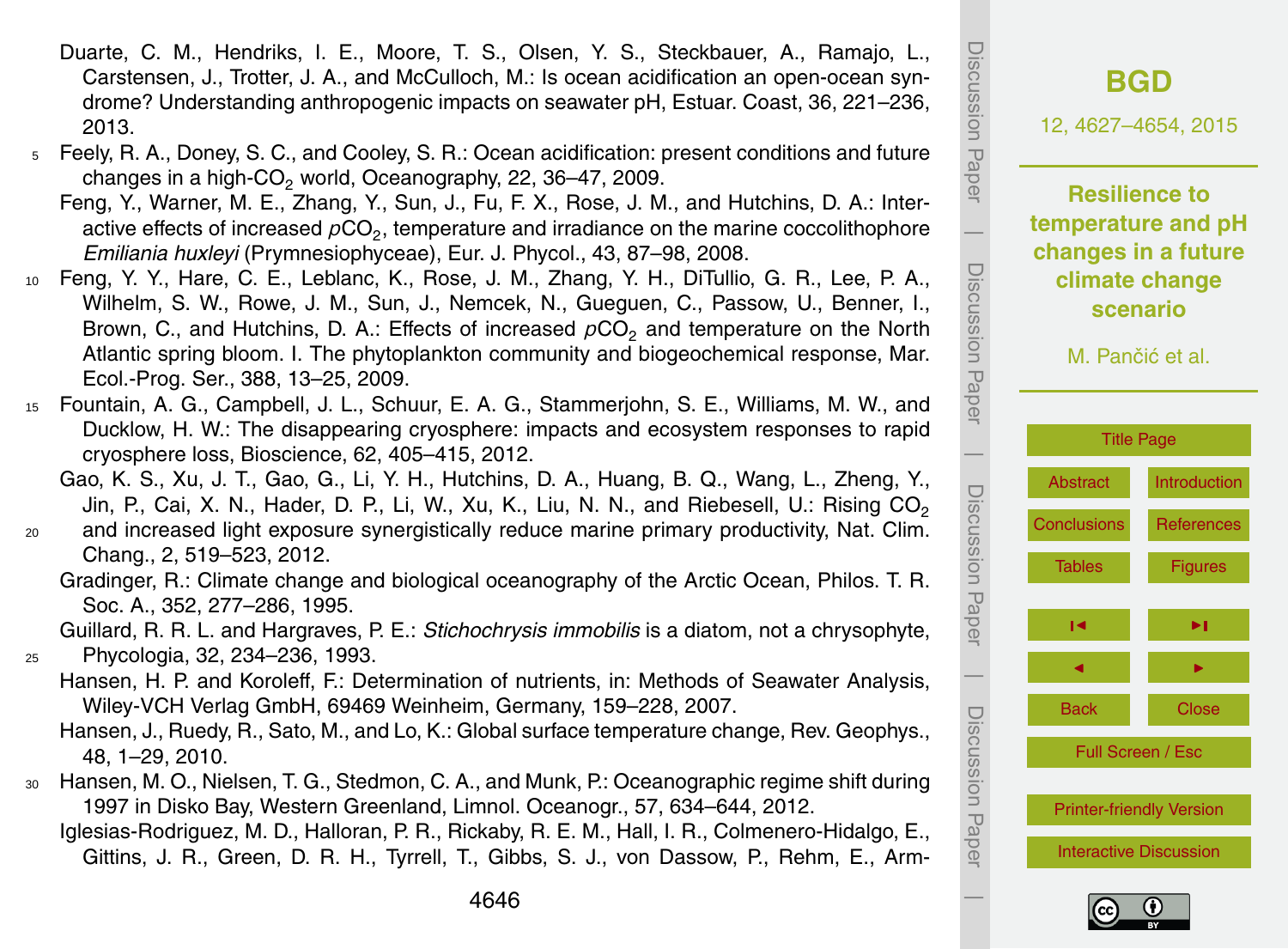- Duarte, C. M., Hendriks, I. E., Moore, T. S., Olsen, Y. S., Steckbauer, A., Ramajo, L., Carstensen, J., Trotter, J. A., and McCulloch, M.: Is ocean acidification an open-ocean syndrome? Understanding anthropogenic impacts on seawater pH, Estuar. Coast, 36, 221–236, 2013.
- <sup>5</sup> Feely, R. A., Doney, S. C., and Cooley, S. R.: Ocean acidification: present conditions and future changes in a high-CO<sub>2</sub> world, Oceanography, 22, 36–47, 2009.
	- Feng, Y., Warner, M. E., Zhang, Y., Sun, J., Fu, F. X., Rose, J. M., and Hutchins, D. A.: Interactive effects of increased  $\rho \mathrm{CO}_2$ , temperature and irradiance on the marine coccolithophore *Emiliania huxleyi* (Prymnesiophyceae), Eur. J. Phycol., 43, 87–98, 2008.
- <sup>10</sup> Feng, Y. Y., Hare, C. E., Leblanc, K., Rose, J. M., Zhang, Y. H., DiTullio, G. R., Lee, P. A., Wilhelm, S. W., Rowe, J. M., Sun, J., Nemcek, N., Gueguen, C., Passow, U., Benner, I., Brown, C., and Hutchins, D. A.: Effects of increased  $pCO<sub>2</sub>$  and temperature on the North Atlantic spring bloom. I. The phytoplankton community and biogeochemical response, Mar. Ecol.-Prog. Ser., 388, 13–25, 2009.
- <sup>15</sup> Fountain, A. G., Campbell, J. L., Schuur, E. A. G., Stammerjohn, S. E., Williams, M. W., and Ducklow, H. W.: The disappearing cryosphere: impacts and ecosystem responses to rapid cryosphere loss, Bioscience, 62, 405–415, 2012.
	- Gao, K. S., Xu, J. T., Gao, G., Li, Y. H., Hutchins, D. A., Huang, B. Q., Wang, L., Zheng, Y., Jin, P., Cai, X. N., Hader, D. P., Li, W., Xu, K., Liu, N. N., and Riebesell, U.: Rising CO<sub>2</sub>
- <sup>20</sup> and increased light exposure synergistically reduce marine primary productivity, Nat. Clim. Chang., 2, 519–523, 2012.
	- Gradinger, R.: Climate change and biological oceanography of the Arctic Ocean, Philos. T. R. Soc. A., 352, 277–286, 1995.
- Guillard, R. R. L. and Hargraves, P. E.: *Stichochrysis immobilis* is a diatom, not a chrysophyte, <sup>25</sup> Phycologia, 32, 234–236, 1993.
	- Hansen, H. P. and Koroleff, F.: Determination of nutrients, in: Methods of Seawater Analysis, Wiley-VCH Verlag GmbH, 69469 Weinheim, Germany, 159–228, 2007.
	- Hansen, J., Ruedy, R., Sato, M., and Lo, K.: Global surface temperature change, Rev. Geophys., 48, 1–29, 2010.
- <sup>30</sup> Hansen, M. O., Nielsen, T. G., Stedmon, C. A., and Munk, P.: Oceanographic regime shift during 1997 in Disko Bay, Western Greenland, Limnol. Oceanogr., 57, 634–644, 2012.
	- Iglesias-Rodriguez, M. D., Halloran, P. R., Rickaby, R. E. M., Hall, I. R., Colmenero-Hidalgo, E., Gittins, J. R., Green, D. R. H., Tyrrell, T., Gibbs, S. J., von Dassow, P., Rehm, E., Arm-



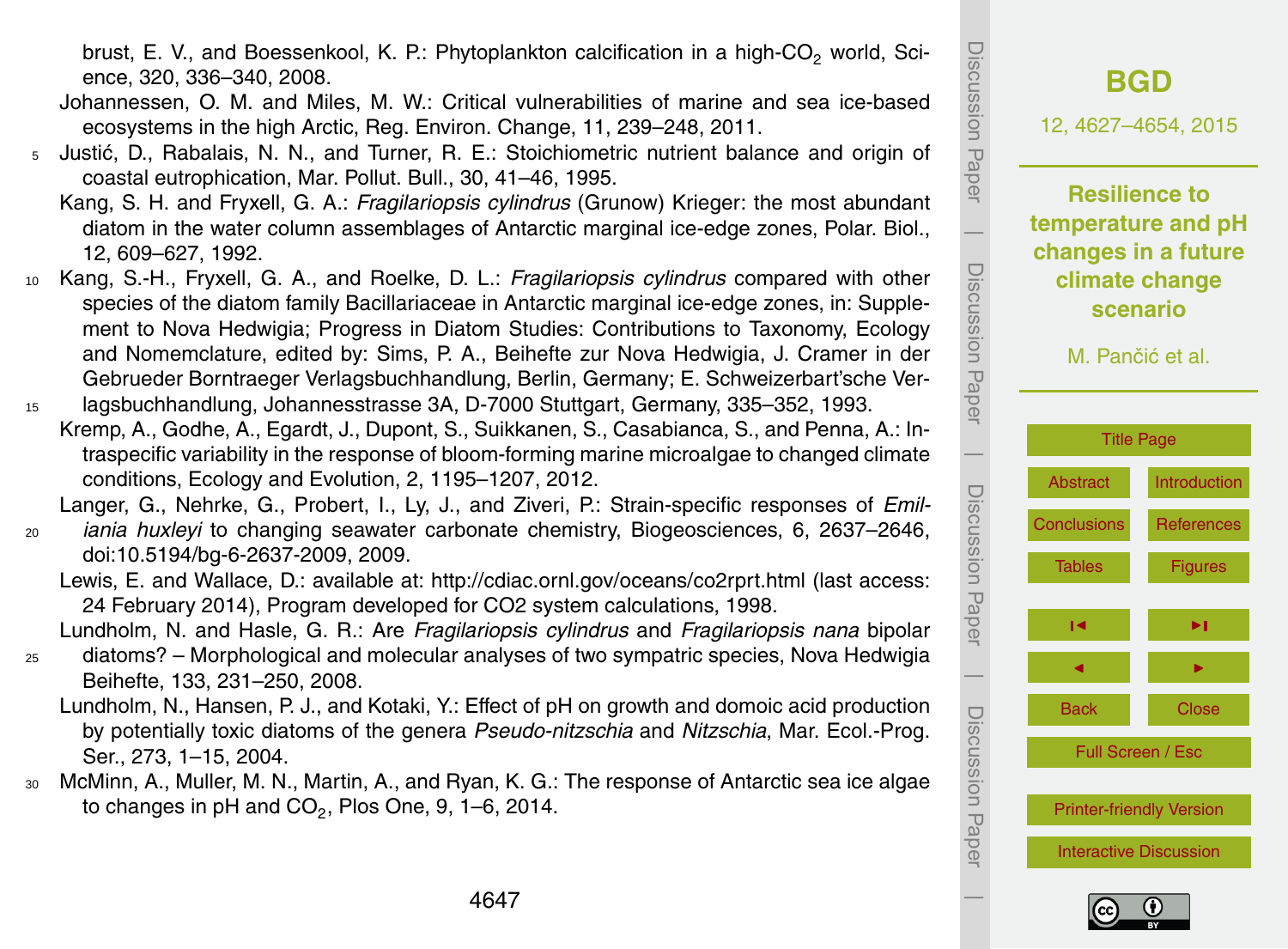$\overline{\phantom{a}}$ 

brust, E. V., and Boessenkool, K. P.: Phytoplankton calcification in a high- $CO<sub>2</sub>$  world, Science, 320, 336–340, 2008.

- Johannessen, O. M. and Miles, M. W.: Critical vulnerabilities of marine and sea ice-based ecosystems in the high Arctic, Reg. Environ. Change, 11, 239–248, 2011.
- <sup>5</sup> Justić, D., Rabalais, N. N., and Turner, R. E.: Stoichiometric nutrient balance and origin of coastal eutrophication, Mar. Pollut. Bull., 30, 41–46, 1995.
	- Kang, S. H. and Fryxell, G. A.: *Fragilariopsis cylindrus* (Grunow) Krieger: the most abundant diatom in the water column assemblages of Antarctic marginal ice-edge zones, Polar. Biol., 12, 609–627, 1992.
- <sup>10</sup> Kang, S.-H., Fryxell, G. A., and Roelke, D. L.: *Fragilariopsis cylindrus* compared with other species of the diatom family Bacillariaceae in Antarctic marginal ice-edge zones, in: Supplement to Nova Hedwigia; Progress in Diatom Studies: Contributions to Taxonomy, Ecology and Nomemclature, edited by: Sims, P. A., Beihefte zur Nova Hedwigia, J. Cramer in der Gebrueder Borntraeger Verlagsbuchhandlung, Berlin, Germany; E. Schweizerbart'sche Ver-<sup>15</sup> lagsbuchhandlung, Johannesstrasse 3A, D-7000 Stuttgart, Germany, 335–352, 1993.
- Kremp, A., Godhe, A., Egardt, J., Dupont, S., Suikkanen, S., Casabianca, S., and Penna, A.: Intraspecific variability in the response of bloom-forming marine microalgae to changed climate conditions, Ecology and Evolution, 2, 1195–1207, 2012.

Langer, G., Nehrke, G., Probert, I., Ly, J., and Ziveri, P.: Strain-specific responses of *Emil-*

- <sup>20</sup> *iania huxleyi* to changing seawater carbonate chemistry, Biogeosciences, 6, 2637–2646, doi[:10.5194/bg-6-2637-2009,](http://dx.doi.org/10.5194/bg-6-2637-2009) 2009.
	- Lewis, E. and Wallace, D.: available at: <http://cdiac.ornl.gov/oceans/co2rprt.html> (last access: 24 February 2014), Program developed for CO2 system calculations, 1998.

Lundholm, N. and Hasle, G. R.: Are *Fragilariopsis cylindrus* and *Fragilariopsis nana* bipolar

- <sup>25</sup> diatoms? Morphological and molecular analyses of two sympatric species, Nova Hedwigia Beihefte, 133, 231–250, 2008.
	- Lundholm, N., Hansen, P. J., and Kotaki, Y.: Effect of pH on growth and domoic acid production by potentially toxic diatoms of the genera *Pseudo-nitzschia* and *Nitzschia*, Mar. Ecol.-Prog. Ser., 273, 1–15, 2004.
- <sup>30</sup> McMinn, A., Muller, M. N., Martin, A., and Ryan, K. G.: The response of Antarctic sea ice algae to changes in pH and  $\mathsf{CO}_2$ , Plos One, 9, 1–6, 2014.

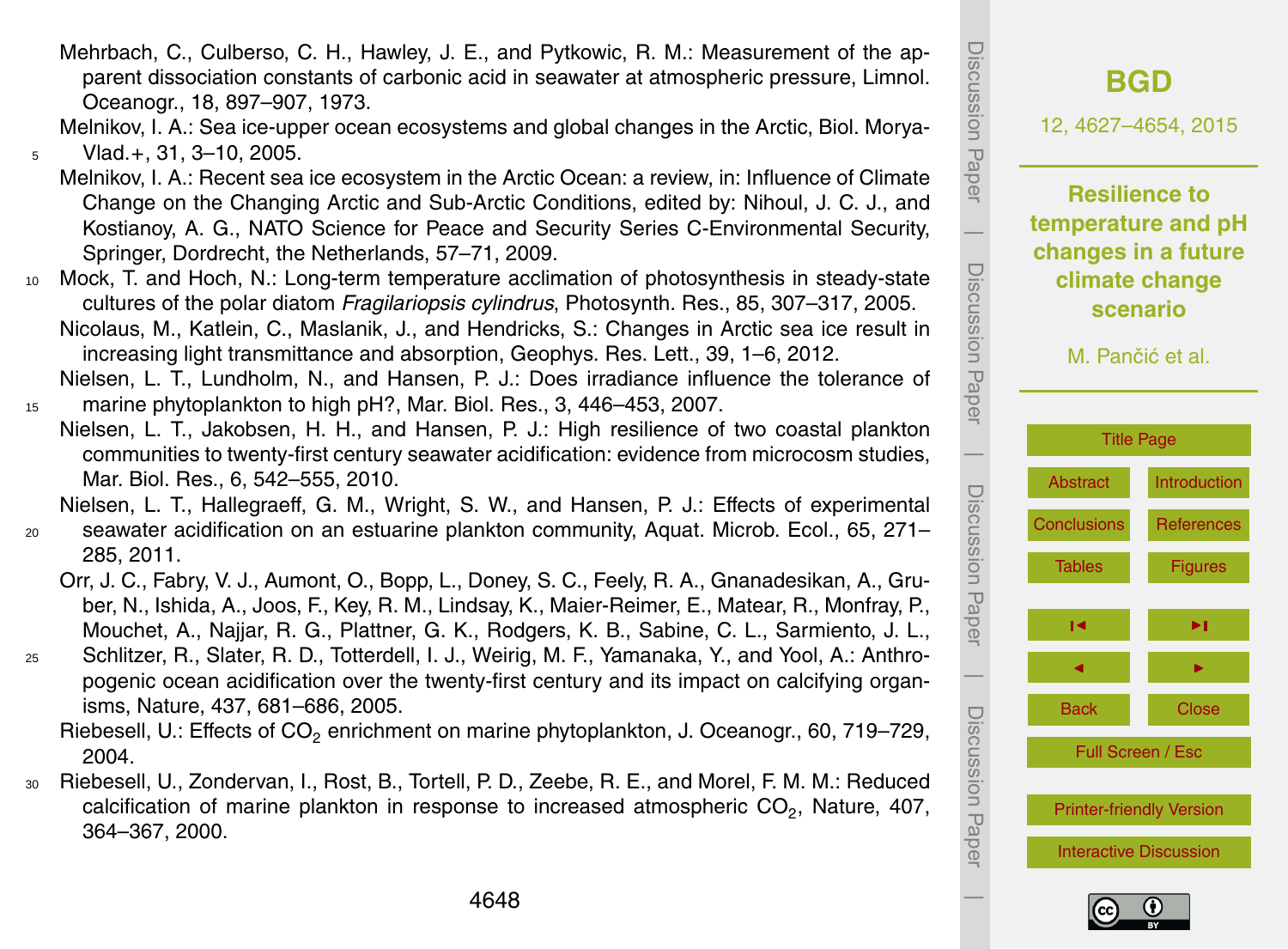- Mehrbach, C., Culberso, C. H., Hawley, J. E., and Pytkowic, R. M.: Measurement of the apparent dissociation constants of carbonic acid in seawater at atmospheric pressure, Limnol. Oceanogr., 18, 897–907, 1973.
- Melnikov, I. A.: Sea ice-upper ocean ecosystems and global changes in the Arctic, Biol. Morya-<sup>5</sup> Vlad.+, 31, 3–10, 2005.
- Melnikov, I. A.: Recent sea ice ecosystem in the Arctic Ocean: a review, in: Influence of Climate Change on the Changing Arctic and Sub-Arctic Conditions, edited by: Nihoul, J. C. J., and Kostianoy, A. G., NATO Science for Peace and Security Series C-Environmental Security, Springer, Dordrecht, the Netherlands, 57–71, 2009.
- <sup>10</sup> Mock, T. and Hoch, N.: Long-term temperature acclimation of photosynthesis in steady-state cultures of the polar diatom *Fragilariopsis cylindrus*, Photosynth. Res., 85, 307–317, 2005. Nicolaus, M., Katlein, C., Maslanik, J., and Hendricks, S.: Changes in Arctic sea ice result in increasing light transmittance and absorption, Geophys. Res. Lett., 39, 1–6, 2012.
- Nielsen, L. T., Lundholm, N., and Hansen, P. J.: Does irradiance influence the tolerance of <sup>15</sup> marine phytoplankton to high pH?, Mar. Biol. Res., 3, 446–453, 2007.
- Nielsen, L. T., Jakobsen, H. H., and Hansen, P. J.: High resilience of two coastal plankton communities to twenty-first century seawater acidification: evidence from microcosm studies, Mar. Biol. Res., 6, 542–555, 2010.

Nielsen, L. T., Hallegraeff, G. M., Wright, S. W., and Hansen, P. J.: Effects of experimental

- <sup>20</sup> seawater acidification on an estuarine plankton community, Aquat. Microb. Ecol., 65, 271– 285, 2011.
	- Orr, J. C., Fabry, V. J., Aumont, O., Bopp, L., Doney, S. C., Feely, R. A., Gnanadesikan, A., Gruber, N., Ishida, A., Joos, F., Key, R. M., Lindsay, K., Maier-Reimer, E., Matear, R., Monfray, P., Mouchet, A., Najjar, R. G., Plattner, G. K., Rodgers, K. B., Sabine, C. L., Sarmiento, J. L.,
- <sup>25</sup> Schlitzer, R., Slater, R. D., Totterdell, I. J., Weirig, M. F., Yamanaka, Y., and Yool, A.: Anthropogenic ocean acidification over the twenty-first century and its impact on calcifying organisms, Nature, 437, 681–686, 2005.
	- Riebesell, U.: Effects of CO<sub>2</sub> enrichment on marine phytoplankton, J. Oceanogr., 60, 719–729, 2004.
- <sup>30</sup> Riebesell, U., Zondervan, I., Rost, B., Tortell, P. D., Zeebe, R. E., and Morel, F. M. M.: Reduced calcification of marine plankton in response to increased atmospheric  $\mathrm{CO}_2$ , Nature, 407, 364–367, 2000.



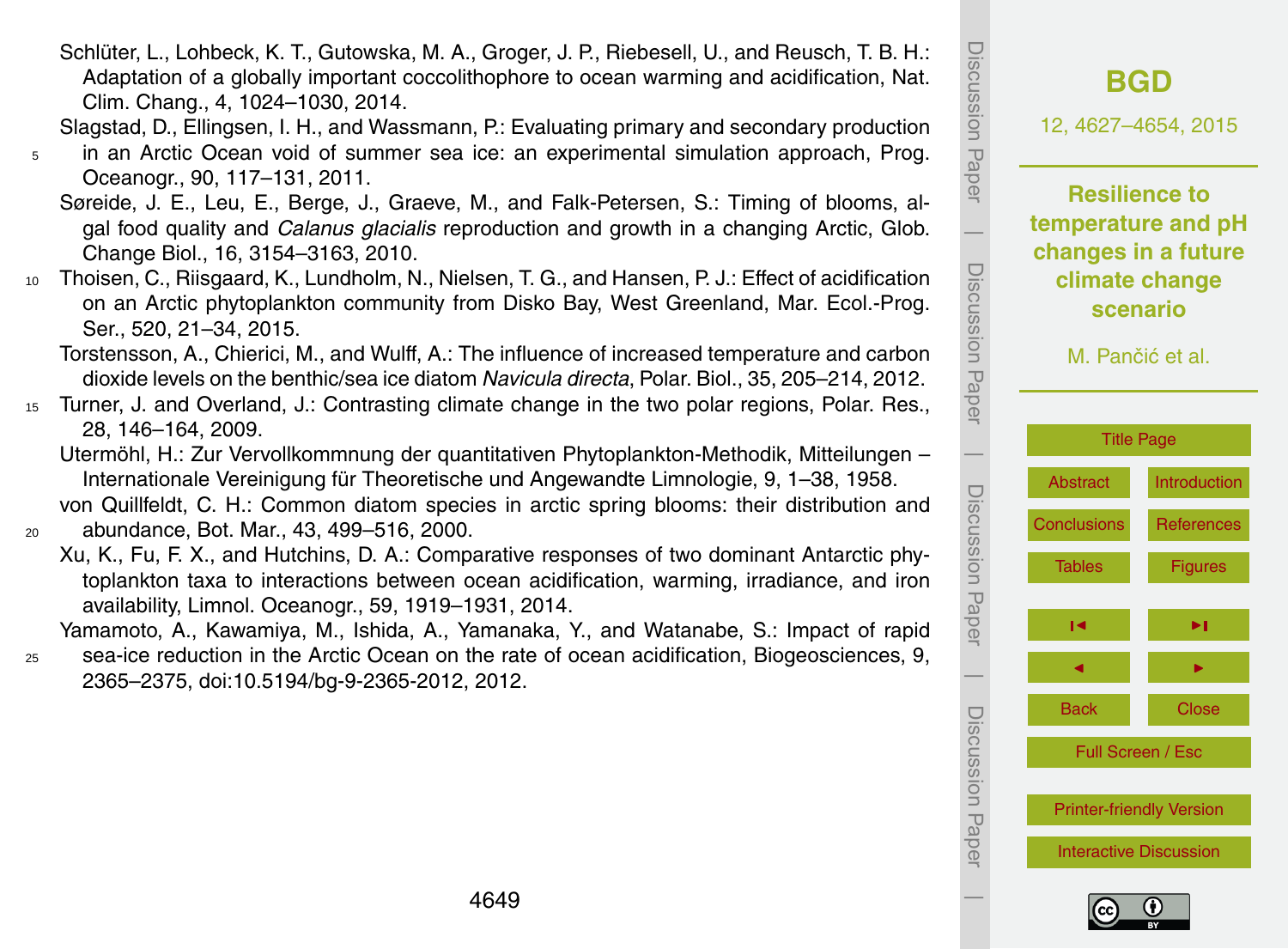Full Screen / Esc

- Schlüter, L., Lohbeck, K. T., Gutowska, M. A., Groger, J. P., Riebesell, U., and Reusch, T. B. H.: Adaptation of a globally important coccolithophore to ocean warming and acidification, Nat. Clim. Chang., 4, 1024–1030, 2014.
- Slagstad, D., Ellingsen, I. H., and Wassmann, P.: Evaluating primary and secondary production
- <sup>5</sup> in an Arctic Ocean void of summer sea ice: an experimental simulation approach, Prog. Oceanogr., 90, 117–131, 2011.
	- Søreide, J. E., Leu, E., Berge, J., Graeve, M., and Falk-Petersen, S.: Timing of blooms, algal food quality and *Calanus glacialis* reproduction and growth in a changing Arctic, Glob. Change Biol., 16, 3154–3163, 2010.
- <sup>10</sup> Thoisen, C., Riisgaard, K., Lundholm, N., Nielsen, T. G., and Hansen, P. J.: Effect of acidification on an Arctic phytoplankton community from Disko Bay, West Greenland, Mar. Ecol.-Prog. Ser., 520, 21–34, 2015.

Torstensson, A., Chierici, M., and Wulff, A.: The influence of increased temperature and carbon dioxide levels on the benthic/sea ice diatom *Navicula directa*, Polar. Biol., 35, 205–214, 2012.

- <sup>15</sup> Turner, J. and Overland, J.: Contrasting climate change in the two polar regions, Polar. Res., 28, 146–164, 2009.
	- Utermöhl, H.: Zur Vervollkommnung der quantitativen Phytoplankton-Methodik, Mitteilungen Internationale Vereinigung für Theoretische und Angewandte Limnologie, 9, 1–38, 1958. von Quillfeldt, C. H.: Common diatom species in arctic spring blooms: their distribution and

<sup>20</sup> abundance, Bot. Mar., 43, 499–516, 2000.

Xu, K., Fu, F. X., and Hutchins, D. A.: Comparative responses of two dominant Antarctic phytoplankton taxa to interactions between ocean acidification, warming, irradiance, and iron availability, Limnol. Oceanogr., 59, 1919–1931, 2014.

Yamamoto, A., Kawamiya, M., Ishida, A., Yamanaka, Y., and Watanabe, S.: Impact of rapid <sup>25</sup> sea-ice reduction in the Arctic Ocean on the rate of ocean acidification, Biogeosciences, 9, 2365–2375, doi[:10.5194/bg-9-2365-2012,](http://dx.doi.org/10.5194/bg-9-2365-2012) 2012.



Discussion Paper

Discussion Paper

 $\overline{\phantom{a}}$ 

Discussion Paper

Discussion Paper

 $\overline{\phantom{a}}$ 

Discussion Paper

Discussion Paper

 $\overline{\phantom{a}}$ 

Discussion Paper

Discussion Paper

 $\overline{\phantom{a}}$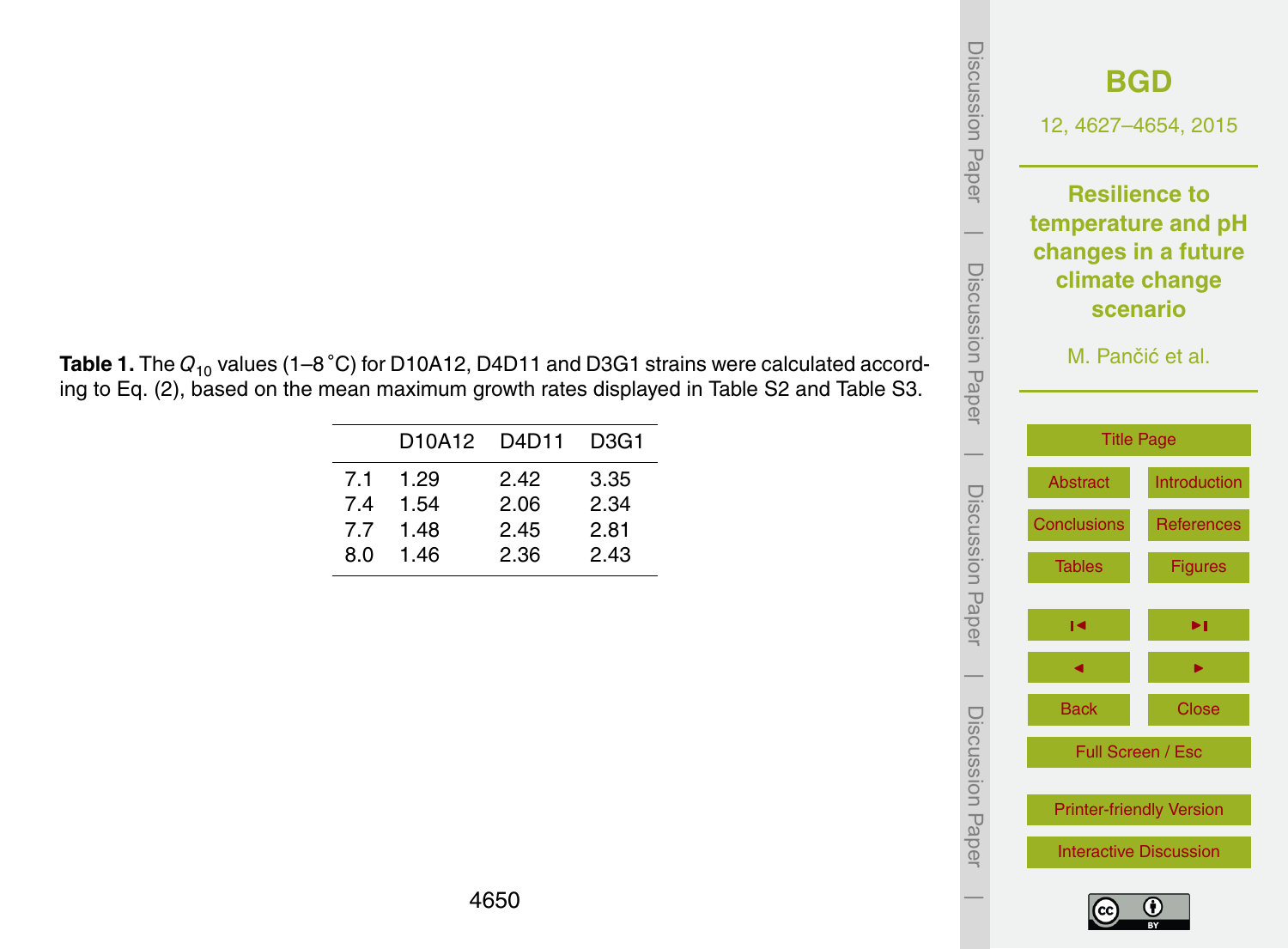| Discussion Paper | <b>BGD</b><br>12, 4627-4654, 2015 |  |  |
|------------------|-----------------------------------|--|--|
|                  | <b>Resilience to</b>              |  |  |
|                  | temperature and pH                |  |  |
|                  | changes in a future               |  |  |
|                  | climate change<br><b>scenario</b> |  |  |
|                  |                                   |  |  |
|                  | M. Pančić et al.                  |  |  |
| Discussion Paper |                                   |  |  |
|                  |                                   |  |  |
|                  | <b>Title Page</b>                 |  |  |
|                  | <b>Abstract</b><br>Introduction   |  |  |
|                  | <b>Conclusions</b><br>References  |  |  |
|                  | <b>Figures</b><br><b>Tables</b>   |  |  |
|                  |                                   |  |  |
| Discussion Paper | ▶∣<br>ю                           |  |  |
|                  |                                   |  |  |
|                  | <b>Back</b><br><b>Close</b>       |  |  |
| Discussion Papel | Full Screen / Esc                 |  |  |
|                  | <b>Printer-friendly Version</b>   |  |  |
|                  | <b>Interactive Discussion</b>     |  |  |
|                  |                                   |  |  |

<span id="page-23-0"></span>**Table 1.** The *<sup>Q</sup>*<sup>10</sup> values (1–8 ◦C) for D10A12, D4D11 and D3G1 strains were calculated according to Eq. (2), based on the mean maximum growth rates displayed in Table S2 and Table S3.

|     | D10A12 D4D11 |      | D <sub>3</sub> G <sub>1</sub> |
|-----|--------------|------|-------------------------------|
| 71  | 1.29         | 2.42 | 3.35                          |
| 74  | 1.54         | 2.06 | 2.34                          |
| 77  | 1.48         | 2.45 | 2.81                          |
| 8.0 | 1.46         | 2.36 | 2.43                          |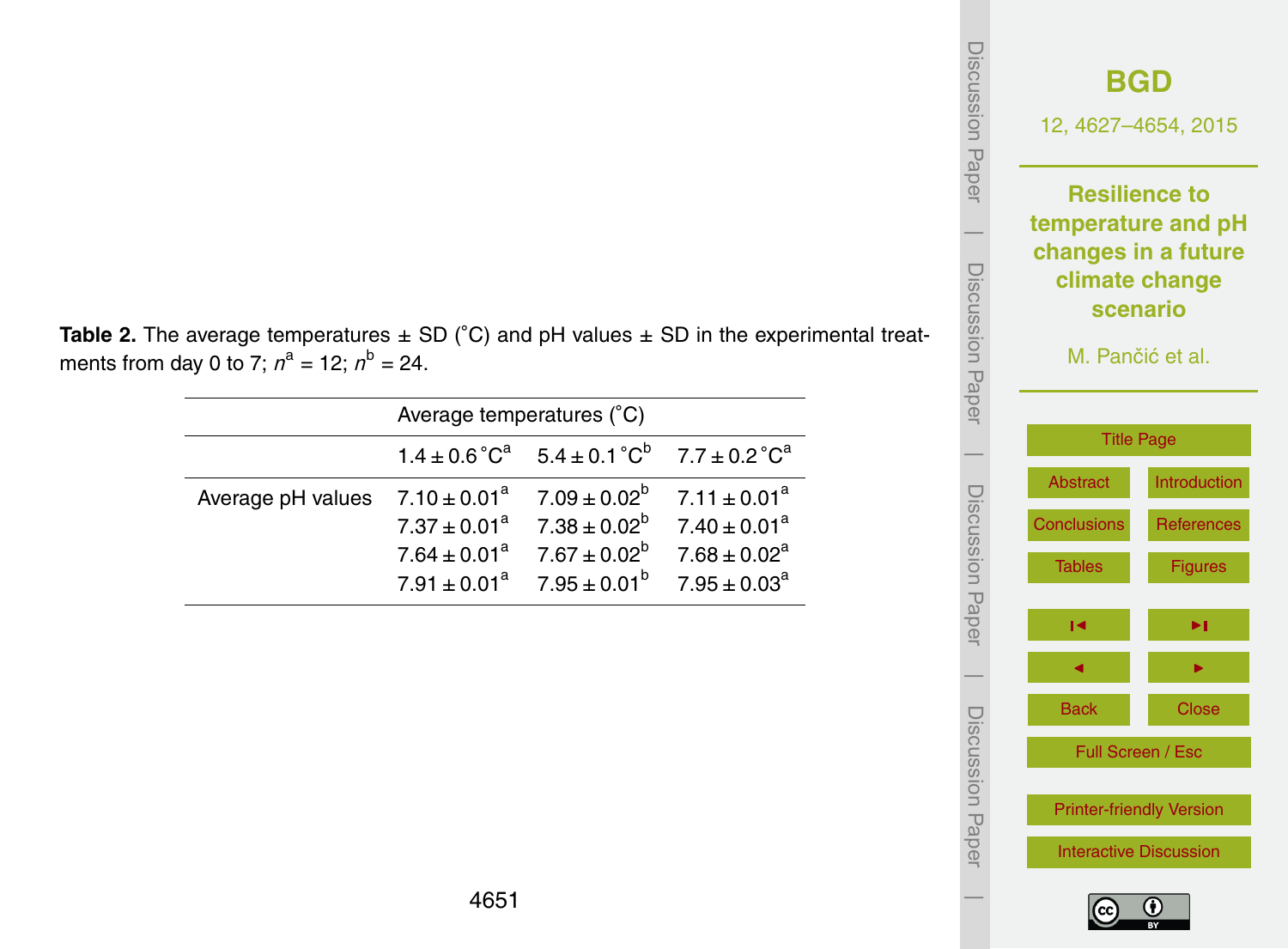| <b>Table 2.</b> The average temperatures $\pm$ SD (°C) and pH values $\pm$ SD in the experimental treat- |
|----------------------------------------------------------------------------------------------------------|
| ments from day 0 to 7; $n^a = 12$ ; $n^b = 24$ .                                                         |

|                                                                         | Average temperatures (°C) |                                                                                                                                                                         |  |  |
|-------------------------------------------------------------------------|---------------------------|-------------------------------------------------------------------------------------------------------------------------------------------------------------------------|--|--|
|                                                                         |                           | $1.4 \pm 0.6^{\circ} \text{C}^{a}$ $5.4 \pm 0.1^{\circ} \text{C}^{b}$ $7.7 \pm 0.2^{\circ} \text{C}^{a}$                                                                |  |  |
| Average pH values $7.10 \pm 0.01^a$ $7.09 \pm 0.02^b$ $7.11 \pm 0.01^a$ |                           | $7.37 \pm 0.01^a$ $7.38 \pm 0.02^b$ $7.40 \pm 0.01^a$<br>$7.64 \pm 0.01^a$ $7.67 \pm 0.02^b$ $7.68 \pm 0.02^a$<br>$7.91 \pm 0.01^a$ $7.95 \pm 0.01^b$ $7.95 \pm 0.03^a$ |  |  |



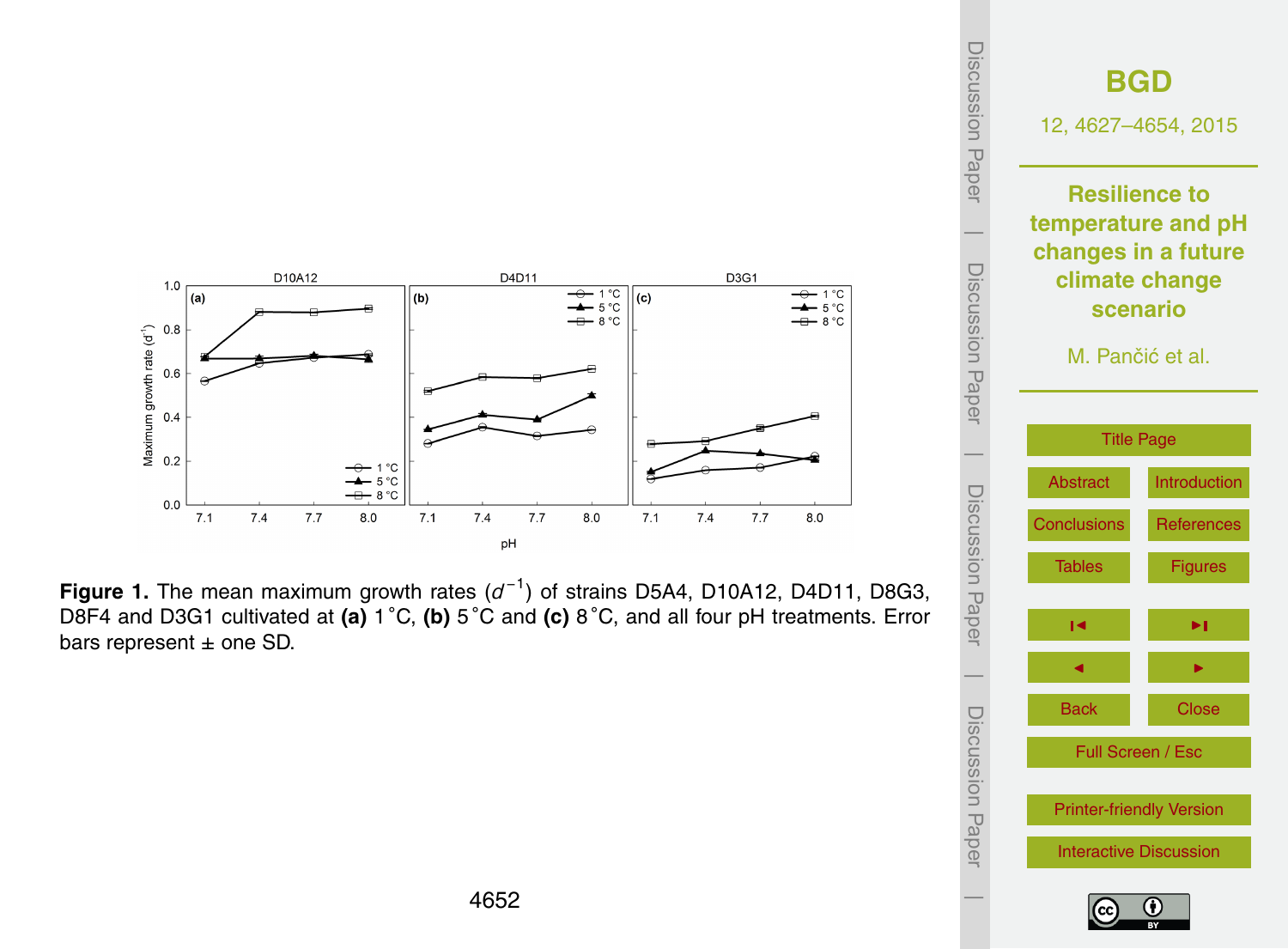<span id="page-25-0"></span>





Discussion Paper

 $\overline{\phantom{a}}$ 

Discussion Paper

 $\overline{\phantom{a}}$ 

Discussion Paper

 $\overline{\phantom{a}}$ 

Discussion Paper

 $\overline{\phantom{a}}$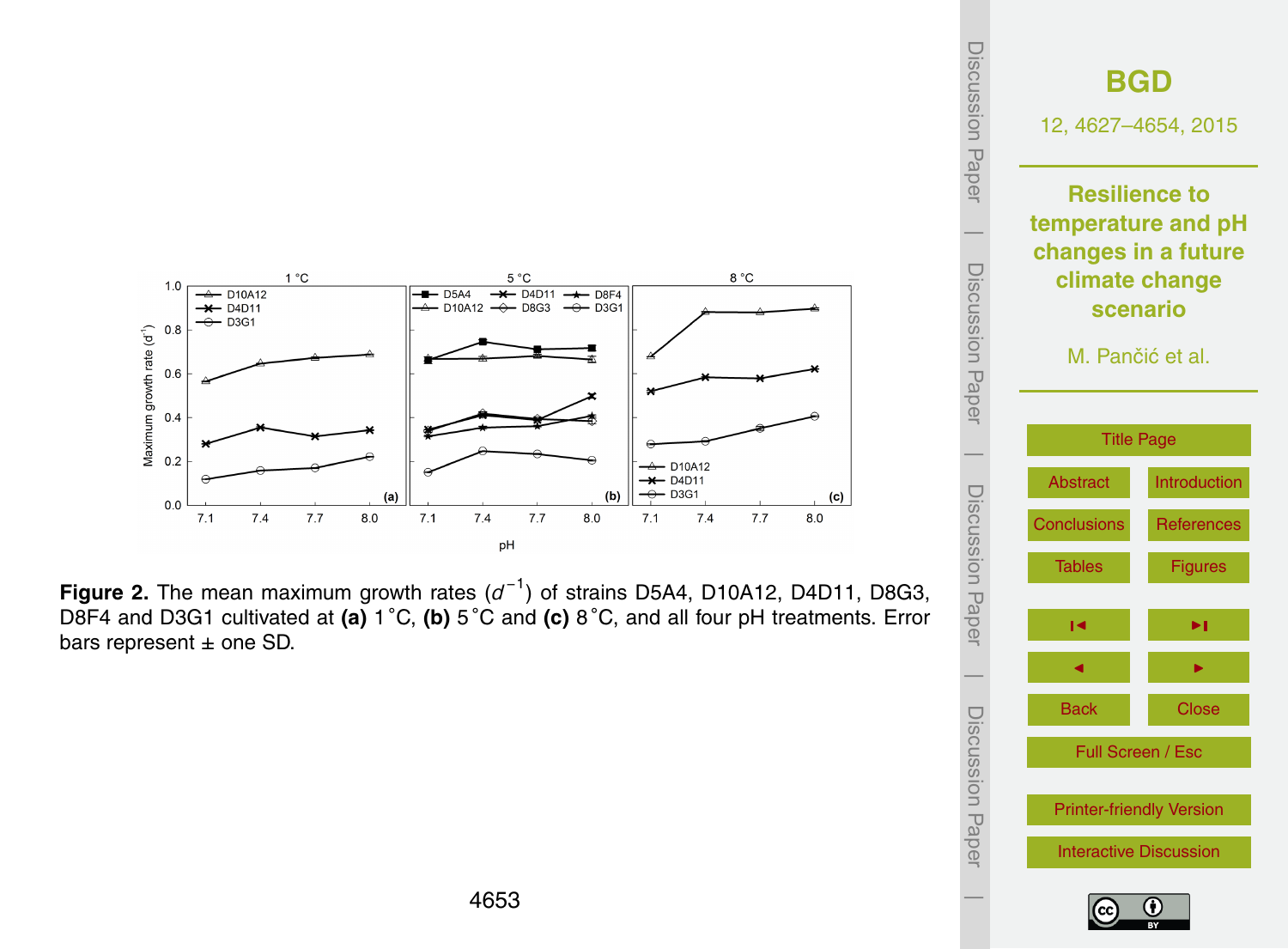